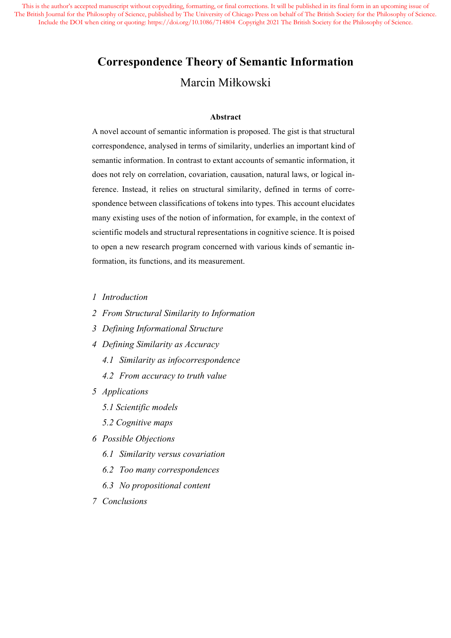# **Correspondence Theory of Semantic Information** Marcin Miłkowski

#### **Abstract**

A novel account of semantic information is proposed. The gist is that structural correspondence, analysed in terms of similarity, underlies an important kind of semantic information. In contrast to extant accounts of semantic information, it does not rely on correlation, covariation, causation, natural laws, or logical inference. Instead, it relies on structural similarity, defined in terms of correspondence between classifications of tokens into types. This account elucidates many existing uses of the notion of information, for example, in the context of scientific models and structural representations in cognitive science. It is poised to open a new research program concerned with various kinds of semantic information, its functions, and its measurement.

- *1 Introduction*
- *2 From Structural Similarity to Information*
- *3 Defining Informational Structure*
- *4 Defining Similarity as Accuracy*
	- *4.1 Similarity as infocorrespondence*
	- *4.2 From accuracy to truth value*
- *5 Applications*
	- *5.1 Scientific models*
	- *5.2 Cognitive maps*
- *6 Possible Objections*
	- *6.1 Similarity versus covariation*
	- *6.2 Too many correspondences*
	- *6.3 No propositional content*
- *7 Conclusions*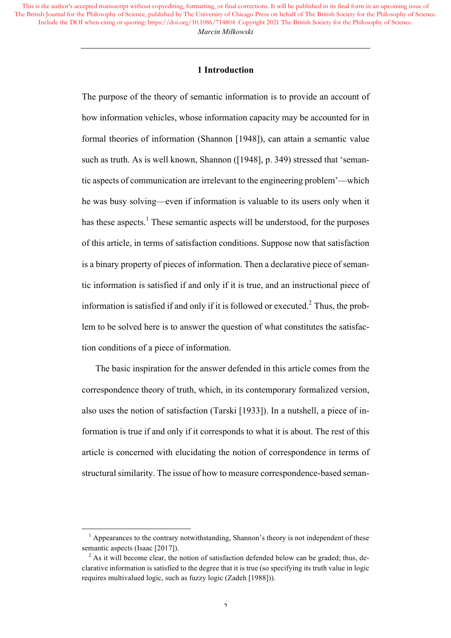## **1 Introduction**

The purpose of the theory of semantic information is to provide an account of how information vehicles, whose information capacity may be accounted for in formal theories of information (Shannon [1948]), can attain a semantic value such as truth. As is well known, Shannon ([1948], p. 349) stressed that 'semantic aspects of communication are irrelevant to the engineering problem'—which he was busy solving—even if information is valuable to its users only when it has these aspects.<sup>1</sup> These semantic aspects will be understood, for the purposes of this article, in terms of satisfaction conditions. Suppose now that satisfaction is a binary property of pieces of information. Then a declarative piece of semantic information is satisfied if and only if it is true, and an instructional piece of information is satisfied if and only if it is followed or executed.<sup>2</sup> Thus, the problem to be solved here is to answer the question of what constitutes the satisfaction conditions of a piece of information.

The basic inspiration for the answer defended in this article comes from the correspondence theory of truth, which, in its contemporary formalized version, also uses the notion of satisfaction (Tarski [1933]). In a nutshell, a piece of information is true if and only if it corresponds to what it is about. The rest of this article is concerned with elucidating the notion of correspondence in terms of structural similarity. The issue of how to measure correspondence-based seman-

<u> 1989 - Johann Barn, mars ann an t-Amhain Aonaich ann an t-Aonaich ann an t-Aonaich ann an t-Aonaich ann an t-</u>

 $<sup>1</sup>$  Appearances to the contrary notwithstanding, Shannon's theory is not independent of these</sup> semantic aspects (Isaac [2017]).

 $2$  As it will become clear, the notion of satisfaction defended below can be graded; thus, declarative information is satisfied to the degree that it is true (so specifying its truth value in logic requires multivalued logic, such as fuzzy logic (Zadeh [1988])).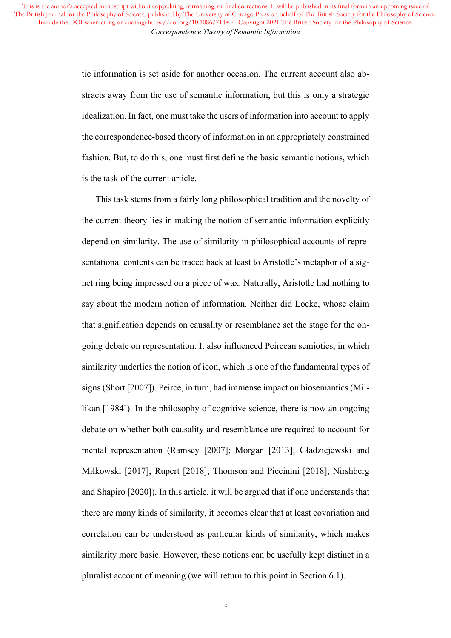> tic information is set aside for another occasion. The current account also abstracts away from the use of semantic information, but this is only a strategic idealization. In fact, one must take the users of information into account to apply the correspondence-based theory of information in an appropriately constrained fashion. But, to do this, one must first define the basic semantic notions, which is the task of the current article.

> This task stems from a fairly long philosophical tradition and the novelty of the current theory lies in making the notion of semantic information explicitly depend on similarity. The use of similarity in philosophical accounts of representational contents can be traced back at least to Aristotle's metaphor of a signet ring being impressed on a piece of wax. Naturally, Aristotle had nothing to say about the modern notion of information. Neither did Locke, whose claim that signification depends on causality or resemblance set the stage for the ongoing debate on representation. It also influenced Peircean semiotics, in which similarity underlies the notion of icon, which is one of the fundamental types of signs (Short [2007]). Peirce, in turn, had immense impact on biosemantics (Millikan [1984]). In the philosophy of cognitive science, there is now an ongoing debate on whether both causality and resemblance are required to account for mental representation (Ramsey [2007]; Morgan [2013]; Gładziejewski and Miłkowski [2017]; Rupert [2018]; Thomson and Piccinini [2018]; Nirshberg and Shapiro [2020]). In this article, it will be argued that if one understands that there are many kinds of similarity, it becomes clear that at least covariation and correlation can be understood as particular kinds of similarity, which makes similarity more basic. However, these notions can be usefully kept distinct in a pluralist account of meaning (we will return to this point in Section 6.1).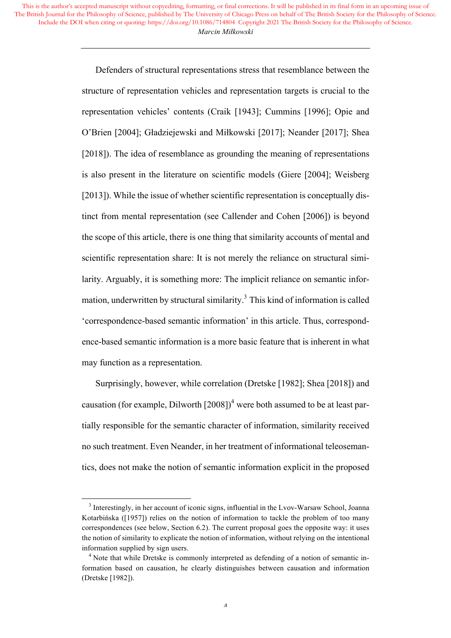> Defenders of structural representations stress that resemblance between the structure of representation vehicles and representation targets is crucial to the representation vehicles' contents (Craik [1943]; Cummins [1996]; Opie and O'Brien [2004]; Gładziejewski and Miłkowski [2017]; Neander [2017]; Shea [2018]). The idea of resemblance as grounding the meaning of representations is also present in the literature on scientific models (Giere [2004]; Weisberg [2013]). While the issue of whether scientific representation is conceptually distinct from mental representation (see Callender and Cohen [2006]) is beyond the scope of this article, there is one thing that similarity accounts of mental and scientific representation share: It is not merely the reliance on structural similarity. Arguably, it is something more: The implicit reliance on semantic information, underwritten by structural similarity.<sup>3</sup> This kind of information is called 'correspondence-based semantic information' in this article. Thus, correspondence-based semantic information is a more basic feature that is inherent in what may function as a representation.

> Surprisingly, however, while correlation (Dretske [1982]; Shea [2018]) and causation (for example, Dilworth  $[2008]$ <sup>4</sup> were both assumed to be at least partially responsible for the semantic character of information, similarity received no such treatment. Even Neander, in her treatment of informational teleosemantics, does not make the notion of semantic information explicit in the proposed

<u> 1989 - Johann Barn, mars ann an t-Amhain Aonaich ann an t-Aonaich ann an t-Aonaich ann an t-Aonaich ann an t-</u>

<sup>&</sup>lt;sup>3</sup> Interestingly, in her account of iconic signs, influential in the Lvov-Warsaw School, Joanna Kotarbińska ([1957]) relies on the notion of information to tackle the problem of too many correspondences (see below, Section 6.2). The current proposal goes the opposite way: it uses the notion of similarity to explicate the notion of information, without relying on the intentional information supplied by sign users.

<sup>&</sup>lt;sup>4</sup> Note that while Dretske is commonly interpreted as defending of a notion of semantic information based on causation, he clearly distinguishes between causation and information (Dretske [1982]).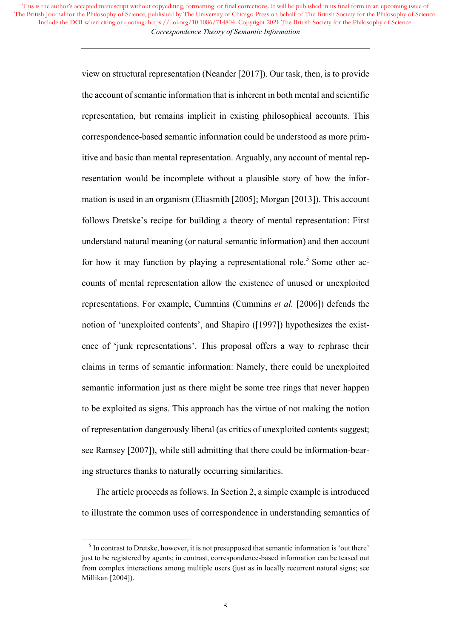> view on structural representation (Neander [2017]). Our task, then, is to provide the account of semantic information that is inherent in both mental and scientific representation, but remains implicit in existing philosophical accounts. This correspondence-based semantic information could be understood as more primitive and basic than mental representation. Arguably, any account of mental representation would be incomplete without a plausible story of how the information is used in an organism (Eliasmith [2005]; Morgan [2013]). This account follows Dretske's recipe for building a theory of mental representation: First understand natural meaning (or natural semantic information) and then account for how it may function by playing a representational role.<sup>5</sup> Some other accounts of mental representation allow the existence of unused or unexploited representations. For example, Cummins (Cummins *et al.* [2006]) defends the notion of 'unexploited contents', and Shapiro ([1997]) hypothesizes the existence of 'junk representations'. This proposal offers a way to rephrase their claims in terms of semantic information: Namely, there could be unexploited semantic information just as there might be some tree rings that never happen to be exploited as signs. This approach has the virtue of not making the notion of representation dangerously liberal (as critics of unexploited contents suggest; see Ramsey [2007]), while still admitting that there could be information-bearing structures thanks to naturally occurring similarities.

> The article proceeds as follows. In Section 2, a simple example is introduced to illustrate the common uses of correspondence in understanding semantics of

 

<sup>&</sup>lt;sup>5</sup> In contrast to Dretske, however, it is not presupposed that semantic information is 'out there' just to be registered by agents; in contrast, correspondence-based information can be teased out from complex interactions among multiple users (just as in locally recurrent natural signs; see Millikan [2004]).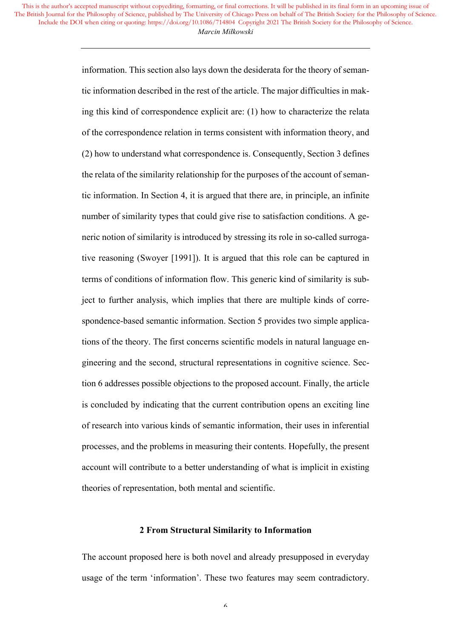> information. This section also lays down the desiderata for the theory of semantic information described in the rest of the article. The major difficulties in making this kind of correspondence explicit are: (1) how to characterize the relata of the correspondence relation in terms consistent with information theory, and (2) how to understand what correspondence is. Consequently, Section 3 defines the relata of the similarity relationship for the purposes of the account of semantic information. In Section 4, it is argued that there are, in principle, an infinite number of similarity types that could give rise to satisfaction conditions. A generic notion of similarity is introduced by stressing its role in so-called surrogative reasoning (Swoyer [1991]). It is argued that this role can be captured in terms of conditions of information flow. This generic kind of similarity is subject to further analysis, which implies that there are multiple kinds of correspondence-based semantic information. Section 5 provides two simple applications of the theory. The first concerns scientific models in natural language engineering and the second, structural representations in cognitive science. Section 6 addresses possible objections to the proposed account. Finally, the article is concluded by indicating that the current contribution opens an exciting line of research into various kinds of semantic information, their uses in inferential processes, and the problems in measuring their contents. Hopefully, the present account will contribute to a better understanding of what is implicit in existing theories of representation, both mental and scientific.

#### **2 From Structural Similarity to Information**

The account proposed here is both novel and already presupposed in everyday usage of the term 'information'. These two features may seem contradictory.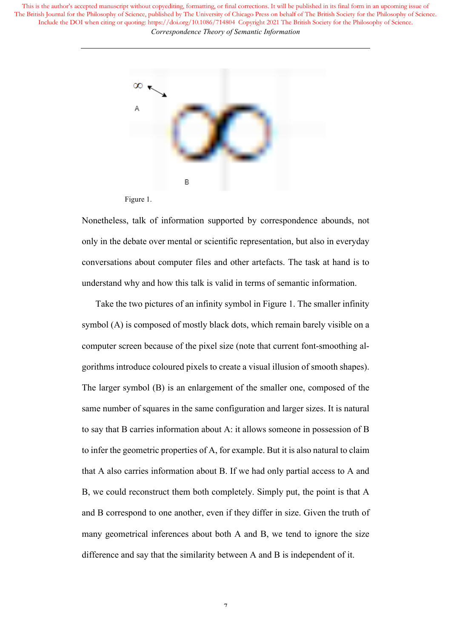

Figure 1.

Nonetheless, talk of information supported by correspondence abounds, not only in the debate over mental or scientific representation, but also in everyday conversations about computer files and other artefacts. The task at hand is to understand why and how this talk is valid in terms of semantic information.

Take the two pictures of an infinity symbol in Figure 1. The smaller infinity symbol (A) is composed of mostly black dots, which remain barely visible on a computer screen because of the pixel size (note that current font-smoothing algorithms introduce coloured pixels to create a visual illusion of smooth shapes). The larger symbol (B) is an enlargement of the smaller one, composed of the same number of squares in the same configuration and larger sizes. It is natural to say that B carries information about A: it allows someone in possession of B to infer the geometric properties of A, for example. But it is also natural to claim that A also carries information about B. If we had only partial access to A and B, we could reconstruct them both completely. Simply put, the point is that A and B correspond to one another, even if they differ in size. Given the truth of many geometrical inferences about both A and B, we tend to ignore the size difference and say that the similarity between A and B is independent of it.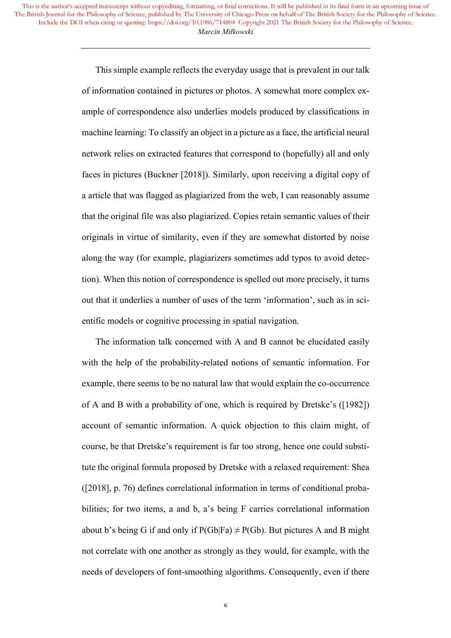> This simple example reflects the everyday usage that is prevalent in our talk of information contained in pictures or photos. A somewhat more complex example of correspondence also underlies models produced by classifications in machine learning: To classify an object in a picture as a face, the artificial neural network relies on extracted features that correspond to (hopefully) all and only faces in pictures (Buckner [2018]). Similarly, upon receiving a digital copy of a article that was flagged as plagiarized from the web, I can reasonably assume that the original file was also plagiarized. Copies retain semantic values of their originals in virtue of similarity, even if they are somewhat distorted by noise along the way (for example, plagiarizers sometimes add typos to avoid detection). When this notion of correspondence is spelled out more precisely, it turns out that it underlies a number of uses of the term 'information', such as in scientific models or cognitive processing in spatial navigation.

> The information talk concerned with A and B cannot be elucidated easily with the help of the probability-related notions of semantic information. For example, there seems to be no natural law that would explain the co-occurrence of A and B with a probability of one, which is required by Dretske's ([1982]) account of semantic information. A quick objection to this claim might, of course, be that Dretske's requirement is far too strong, hence one could substitute the original formula proposed by Dretske with a relaxed requirement: Shea ([2018], p. 76) defines correlational information in terms of conditional probabilities; for two items, a and b, a's being F carries correlational information about b's being G if and only if  $P(Gb|Fa) \neq P(Gb)$ . But pictures A and B might not correlate with one another as strongly as they would, for example, with the needs of developers of font-smoothing algorithms. Consequently, even if there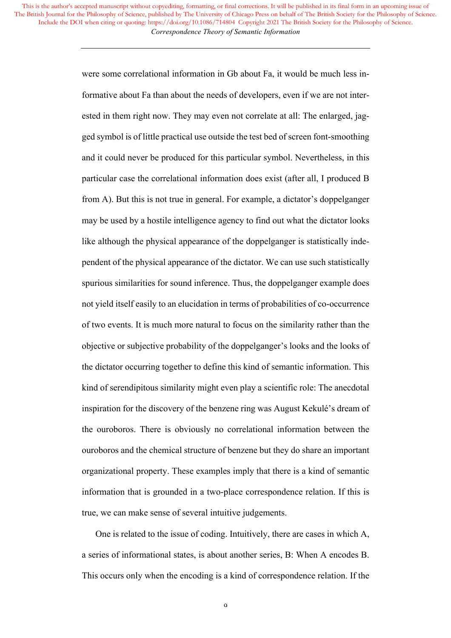> were some correlational information in Gb about Fa, it would be much less informative about Fa than about the needs of developers, even if we are not interested in them right now. They may even not correlate at all: The enlarged, jagged symbol is of little practical use outside the test bed of screen font-smoothing and it could never be produced for this particular symbol. Nevertheless, in this particular case the correlational information does exist (after all, I produced B from A). But this is not true in general. For example, a dictator's doppelganger may be used by a hostile intelligence agency to find out what the dictator looks like although the physical appearance of the doppelganger is statistically independent of the physical appearance of the dictator. We can use such statistically spurious similarities for sound inference. Thus, the doppelganger example does not yield itself easily to an elucidation in terms of probabilities of co-occurrence of two events. It is much more natural to focus on the similarity rather than the objective or subjective probability of the doppelganger's looks and the looks of the dictator occurring together to define this kind of semantic information. This kind of serendipitous similarity might even play a scientific role: The anecdotal inspiration for the discovery of the benzene ring was August Kekulé's dream of the ouroboros. There is obviously no correlational information between the ouroboros and the chemical structure of benzene but they do share an important organizational property. These examples imply that there is a kind of semantic information that is grounded in a two-place correspondence relation. If this is true, we can make sense of several intuitive judgements.

> One is related to the issue of coding. Intuitively, there are cases in which A, a series of informational states, is about another series, B: When A encodes B. This occurs only when the encoding is a kind of correspondence relation. If the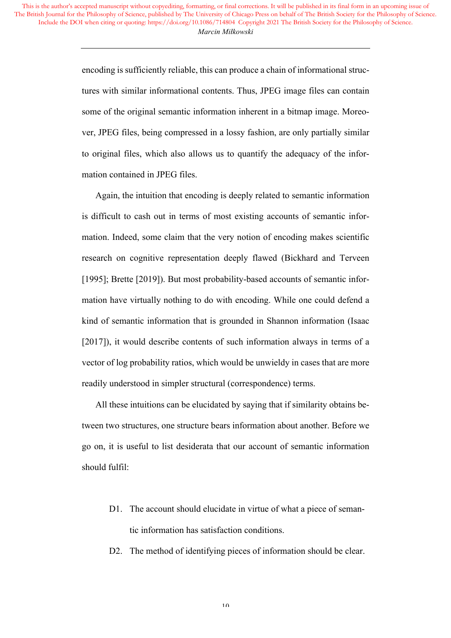> encoding is sufficiently reliable, this can produce a chain of informational structures with similar informational contents. Thus, JPEG image files can contain some of the original semantic information inherent in a bitmap image. Moreover, JPEG files, being compressed in a lossy fashion, are only partially similar to original files, which also allows us to quantify the adequacy of the information contained in JPEG files.

> Again, the intuition that encoding is deeply related to semantic information is difficult to cash out in terms of most existing accounts of semantic information. Indeed, some claim that the very notion of encoding makes scientific research on cognitive representation deeply flawed (Bickhard and Terveen [1995]; Brette [2019]). But most probability-based accounts of semantic information have virtually nothing to do with encoding. While one could defend a kind of semantic information that is grounded in Shannon information (Isaac [2017]), it would describe contents of such information always in terms of a vector of log probability ratios, which would be unwieldy in cases that are more readily understood in simpler structural (correspondence) terms.

> All these intuitions can be elucidated by saying that if similarity obtains between two structures, one structure bears information about another. Before we go on, it is useful to list desiderata that our account of semantic information should fulfil:

- D1. The account should elucidate in virtue of what a piece of semantic information has satisfaction conditions.
- D2. The method of identifying pieces of information should be clear.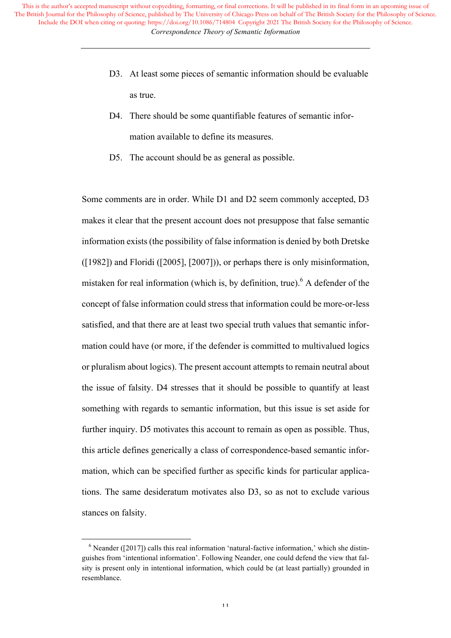- D3. At least some pieces of semantic information should be evaluable as true.
- D4. There should be some quantifiable features of semantic information available to define its measures.
- D5. The account should be as general as possible.

Some comments are in order. While D1 and D2 seem commonly accepted, D3 makes it clear that the present account does not presuppose that false semantic information exists (the possibility of false information is denied by both Dretske ([1982]) and Floridi ([2005], [2007])), or perhaps there is only misinformation, mistaken for real information (which is, by definition, true).<sup>6</sup> A defender of the concept of false information could stress that information could be more-or-less satisfied, and that there are at least two special truth values that semantic information could have (or more, if the defender is committed to multivalued logics or pluralism about logics). The present account attempts to remain neutral about the issue of falsity. D4 stresses that it should be possible to quantify at least something with regards to semantic information, but this issue is set aside for further inquiry. D5 motivates this account to remain as open as possible. Thus, this article defines generically a class of correspondence-based semantic information, which can be specified further as specific kinds for particular applications. The same desideratum motivates also D3, so as not to exclude various stances on falsity.

 

 $6$  Neander ([2017]) calls this real information 'natural-factive information,' which she distinguishes from 'intentional information'. Following Neander, one could defend the view that falsity is present only in intentional information, which could be (at least partially) grounded in resemblance.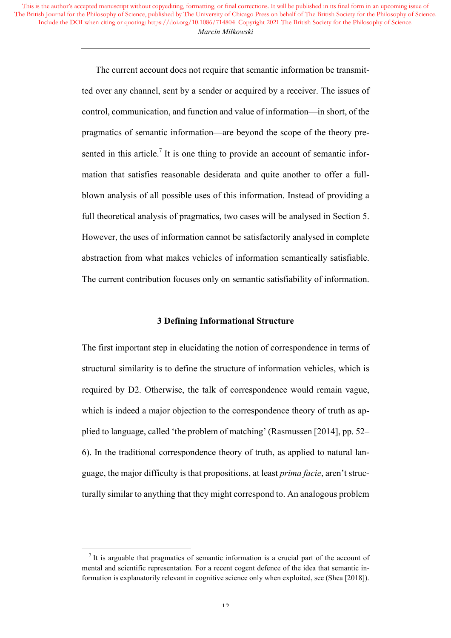> The current account does not require that semantic information be transmitted over any channel, sent by a sender or acquired by a receiver. The issues of control, communication, and function and value of information—in short, of the pragmatics of semantic information—are beyond the scope of the theory presented in this article.<sup>7</sup> It is one thing to provide an account of semantic information that satisfies reasonable desiderata and quite another to offer a fullblown analysis of all possible uses of this information. Instead of providing a full theoretical analysis of pragmatics, two cases will be analysed in Section 5. However, the uses of information cannot be satisfactorily analysed in complete abstraction from what makes vehicles of information semantically satisfiable. The current contribution focuses only on semantic satisfiability of information.

## **3 Defining Informational Structure**

The first important step in elucidating the notion of correspondence in terms of structural similarity is to define the structure of information vehicles, which is required by D2. Otherwise, the talk of correspondence would remain vague, which is indeed a major objection to the correspondence theory of truth as applied to language, called 'the problem of matching' (Rasmussen [2014], pp. 52– 6). In the traditional correspondence theory of truth, as applied to natural language, the major difficulty is that propositions, at least *prima facie*, aren't structurally similar to anything that they might correspond to. An analogous problem

<u> 1989 - Johann Barn, mars ann an t-Amhain Aonaich ann an t-Aonaich ann an t-Aonaich ann an t-Aonaich ann an t-</u>

 $<sup>7</sup>$  It is arguable that pragmatics of semantic information is a crucial part of the account of</sup> mental and scientific representation. For a recent cogent defence of the idea that semantic information is explanatorily relevant in cognitive science only when exploited, see (Shea [2018]).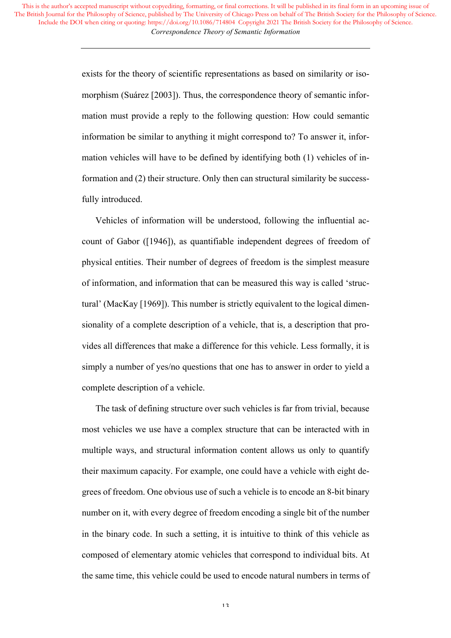> exists for the theory of scientific representations as based on similarity or isomorphism (Suárez [2003]). Thus, the correspondence theory of semantic information must provide a reply to the following question: How could semantic information be similar to anything it might correspond to? To answer it, information vehicles will have to be defined by identifying both (1) vehicles of information and (2) their structure. Only then can structural similarity be successfully introduced.

> Vehicles of information will be understood, following the influential account of Gabor ([1946]), as quantifiable independent degrees of freedom of physical entities. Their number of degrees of freedom is the simplest measure of information, and information that can be measured this way is called 'structural' (MacKay [1969]). This number is strictly equivalent to the logical dimensionality of a complete description of a vehicle, that is, a description that provides all differences that make a difference for this vehicle. Less formally, it is simply a number of yes/no questions that one has to answer in order to yield a complete description of a vehicle.

> The task of defining structure over such vehicles is far from trivial, because most vehicles we use have a complex structure that can be interacted with in multiple ways, and structural information content allows us only to quantify their maximum capacity. For example, one could have a vehicle with eight degrees of freedom. One obvious use of such a vehicle is to encode an 8-bit binary number on it, with every degree of freedom encoding a single bit of the number in the binary code. In such a setting, it is intuitive to think of this vehicle as composed of elementary atomic vehicles that correspond to individual bits. At the same time, this vehicle could be used to encode natural numbers in terms of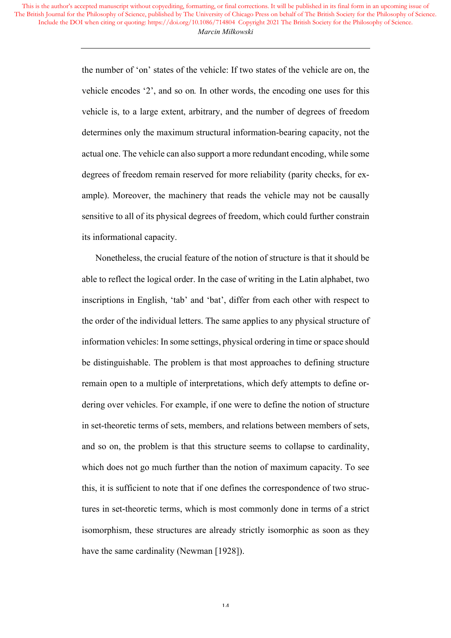> the number of 'on' states of the vehicle: If two states of the vehicle are on, the vehicle encodes '2', and so on*.* In other words, the encoding one uses for this vehicle is, to a large extent, arbitrary, and the number of degrees of freedom determines only the maximum structural information-bearing capacity, not the actual one. The vehicle can also support a more redundant encoding, while some degrees of freedom remain reserved for more reliability (parity checks, for example). Moreover, the machinery that reads the vehicle may not be causally sensitive to all of its physical degrees of freedom, which could further constrain its informational capacity.

> Nonetheless, the crucial feature of the notion of structure is that it should be able to reflect the logical order. In the case of writing in the Latin alphabet, two inscriptions in English, 'tab' and 'bat', differ from each other with respect to the order of the individual letters. The same applies to any physical structure of information vehicles: In some settings, physical ordering in time or space should be distinguishable. The problem is that most approaches to defining structure remain open to a multiple of interpretations, which defy attempts to define ordering over vehicles. For example, if one were to define the notion of structure in set-theoretic terms of sets, members, and relations between members of sets, and so on, the problem is that this structure seems to collapse to cardinality, which does not go much further than the notion of maximum capacity. To see this, it is sufficient to note that if one defines the correspondence of two structures in set-theoretic terms, which is most commonly done in terms of a strict isomorphism, these structures are already strictly isomorphic as soon as they have the same cardinality (Newman [1928]).

> > 14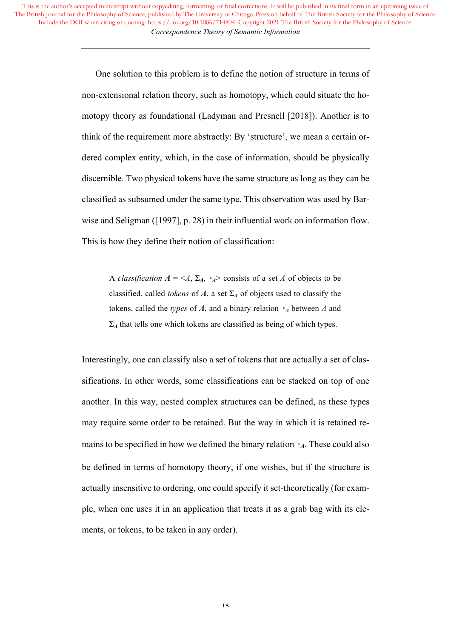> One solution to this problem is to define the notion of structure in terms of non-extensional relation theory, such as homotopy, which could situate the homotopy theory as foundational (Ladyman and Presnell [2018]). Another is to think of the requirement more abstractly: By 'structure', we mean a certain ordered complex entity, which, in the case of information, should be physically discernible. Two physical tokens have the same structure as long as they can be classified as subsumed under the same type. This observation was used by Barwise and Seligman ([1997], p. 28) in their influential work on information flow. This is how they define their notion of classification:

A *classification*  $A = \langle A, \Sigma_A, \varepsilon_A \rangle$  consists of a set *A* of objects to be classified, called *tokens* of  $A$ , a set  $\Sigma_A$  of objects used to classify the tokens, called the *types* of *A*, and a binary relation ⊧*<sup>A</sup>* between *A* and  $\Sigma_A$  that tells one which tokens are classified as being of which types.

Interestingly, one can classify also a set of tokens that are actually a set of classifications. In other words, some classifications can be stacked on top of one another. In this way, nested complex structures can be defined, as these types may require some order to be retained. But the way in which it is retained remains to be specified in how we defined the binary relation  $\overline{A}$ . These could also be defined in terms of homotopy theory, if one wishes, but if the structure is actually insensitive to ordering, one could specify it set-theoretically (for example, when one uses it in an application that treats it as a grab bag with its elements, or tokens, to be taken in any order).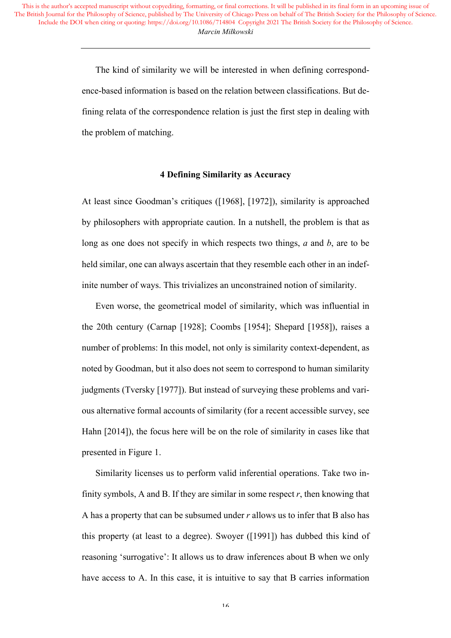> The kind of similarity we will be interested in when defining correspondence-based information is based on the relation between classifications. But defining relata of the correspondence relation is just the first step in dealing with the problem of matching.

## **4 Defining Similarity as Accuracy**

At least since Goodman's critiques ([1968], [1972]), similarity is approached by philosophers with appropriate caution. In a nutshell, the problem is that as long as one does not specify in which respects two things, *a* and *b*, are to be held similar, one can always ascertain that they resemble each other in an indefinite number of ways. This trivializes an unconstrained notion of similarity.

Even worse, the geometrical model of similarity, which was influential in the 20th century (Carnap [1928]; Coombs [1954]; Shepard [1958]), raises a number of problems: In this model, not only is similarity context-dependent, as noted by Goodman, but it also does not seem to correspond to human similarity judgments (Tversky [1977]). But instead of surveying these problems and various alternative formal accounts of similarity (for a recent accessible survey, see Hahn [2014]), the focus here will be on the role of similarity in cases like that presented in Figure 1.

Similarity licenses us to perform valid inferential operations. Take two infinity symbols, A and B. If they are similar in some respect  $r$ , then knowing that A has a property that can be subsumed under *r* allows us to infer that B also has this property (at least to a degree). Swoyer ([1991]) has dubbed this kind of reasoning 'surrogative': It allows us to draw inferences about B when we only have access to A. In this case, it is intuitive to say that B carries information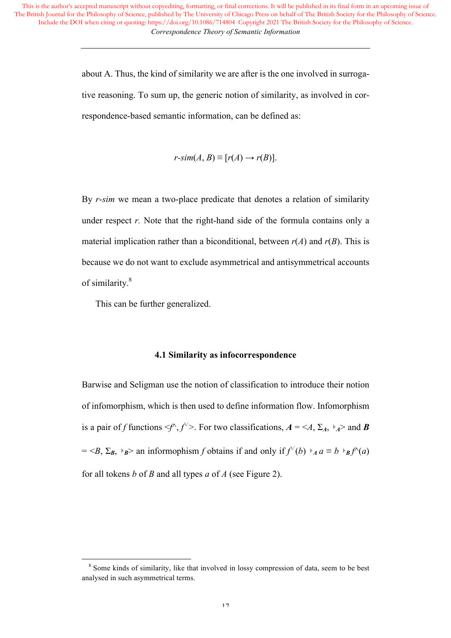> about A. Thus, the kind of similarity we are after is the one involved in surrogative reasoning. To sum up, the generic notion of similarity, as involved in correspondence-based semantic information, can be defined as:

> > $r\text{-}sim(A, B) \equiv [r(A) \rightarrow r(B)].$

By *r*-*sim* we mean a two-place predicate that denotes a relation of similarity under respect *r*. Note that the right-hand side of the formula contains only a material implication rather than a biconditional, between  $r(A)$  and  $r(B)$ . This is because we do not want to exclude asymmetrical and antisymmetrical accounts of similarity.<sup>8</sup>

This can be further generalized.

<u> 1989 - Johann Barn, mars ann an t-Amhain Aonaich ann an t-Aonaich ann an t-Aonaich ann an t-Aonaich ann an t-</u>

#### **4.1 Similarity as infocorrespondence**

Barwise and Seligman use the notion of classification to introduce their notion of infomorphism, which is then used to define information flow. Infomorphism is a pair of *f* functions  $\langle f^{\wedge}, f^{\vee} \rangle$ . For two classifications,  $A = \langle A, \Sigma_A, \Sigma_A \rangle$  and **B**  $=$  <*B*,  $\Sigma_B$ ,  $\models_B>$  an informophism *f* obtains if and only if  $f^{\vee}(b) \models_A a \equiv b \models_B f^{\wedge}(a)$ for all tokens *b* of *B* and all types *a* of *A* (see Figure 2).

<sup>&</sup>lt;sup>8</sup> Some kinds of similarity, like that involved in lossy compression of data, seem to be best analysed in such asymmetrical terms.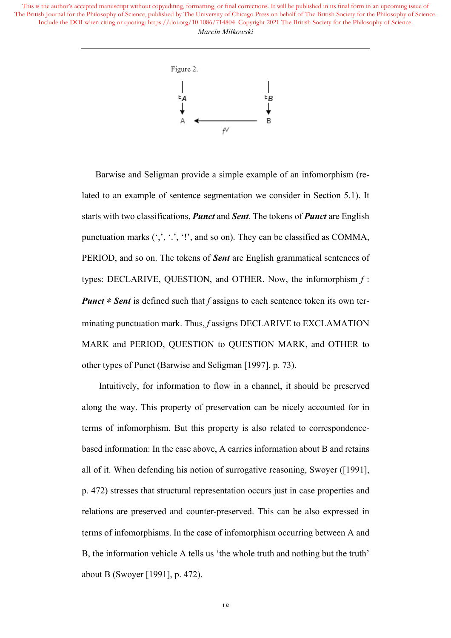

Barwise and Seligman provide a simple example of an infomorphism (related to an example of sentence segmentation we consider in Section 5.1). It starts with two classifications, *Punct* and *Sent.* The tokens of *Punct* are English punctuation marks  $(',',',','']$ , and so on). They can be classified as COMMA, PERIOD, and so on. The tokens of *Sent* are English grammatical sentences of types: DECLARIVE, QUESTION, and OTHER. Now, the infomorphism *f* : *Punct*  $\neq$  *Sent* is defined such that *f* assigns to each sentence token its own terminating punctuation mark. Thus, *f* assigns DECLARIVE to EXCLAMATION MARK and PERIOD, QUESTION to QUESTION MARK, and OTHER to other types of Punct (Barwise and Seligman [1997], p. 73).

Intuitively, for information to flow in a channel, it should be preserved along the way. This property of preservation can be nicely accounted for in terms of infomorphism. But this property is also related to correspondencebased information: In the case above, A carries information about B and retains all of it. When defending his notion of surrogative reasoning, Swoyer ([1991], p. 472) stresses that structural representation occurs just in case properties and relations are preserved and counter-preserved. This can be also expressed in terms of infomorphisms. In the case of infomorphism occurring between A and B, the information vehicle A tells us 'the whole truth and nothing but the truth' about B (Swoyer [1991], p. 472).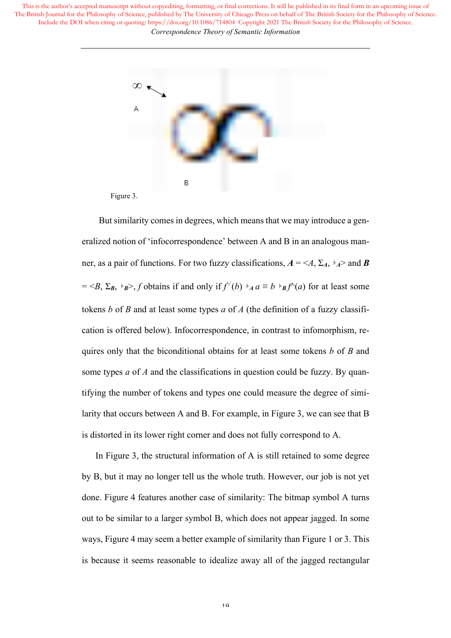

Figure 3.

But similarity comes in degrees, which means that we may introduce a generalized notion of 'infocorrespondence' between A and B in an analogous manner, as a pair of functions. For two fuzzy classifications,  $A = \langle A, \Sigma_A, \Sigma_A \rangle$  and **B**  $=$  <*B*,  $\Sigma_B$ ,  $\models_B$ >, *f* obtains if and only if  $f^{\vee}(b) \models_A a \equiv b \models_B f^{\wedge}(a)$  for at least some tokens *b* of *B* and at least some types *a* of *A* (the definition of a fuzzy classification is offered below). Infocorrespondence, in contrast to infomorphism, requires only that the biconditional obtains for at least some tokens *b* of *B* and some types *a* of *A* and the classifications in question could be fuzzy. By quantifying the number of tokens and types one could measure the degree of similarity that occurs between A and B. For example, in Figure 3, we can see that B is distorted in its lower right corner and does not fully correspond to A.

In Figure 3, the structural information of A is still retained to some degree by B, but it may no longer tell us the whole truth. However, our job is not yet done. Figure 4 features another case of similarity: The bitmap symbol A turns out to be similar to a larger symbol B, which does not appear jagged. In some ways, Figure 4 may seem a better example of similarity than Figure 1 or 3. This is because it seems reasonable to idealize away all of the jagged rectangular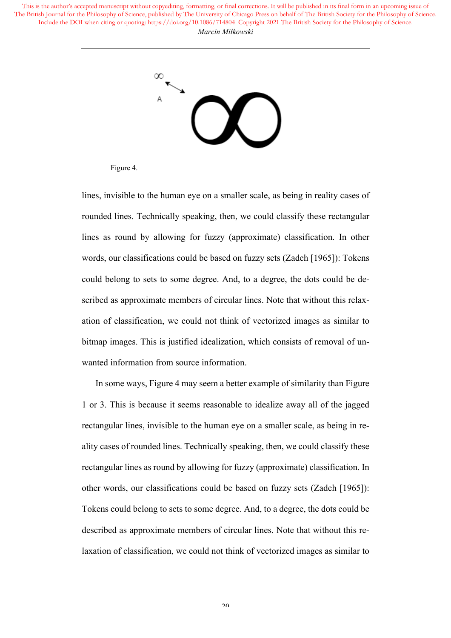

Figure 4.

lines, invisible to the human eye on a smaller scale, as being in reality cases of rounded lines. Technically speaking, then, we could classify these rectangular lines as round by allowing for fuzzy (approximate) classification. In other words, our classifications could be based on fuzzy sets (Zadeh [1965]): Tokens could belong to sets to some degree. And, to a degree, the dots could be described as approximate members of circular lines. Note that without this relaxation of classification, we could not think of vectorized images as similar to bitmap images. This is justified idealization, which consists of removal of unwanted information from source information.

In some ways, Figure 4 may seem a better example of similarity than Figure 1 or 3. This is because it seems reasonable to idealize away all of the jagged rectangular lines, invisible to the human eye on a smaller scale, as being in reality cases of rounded lines. Technically speaking, then, we could classify these rectangular lines as round by allowing for fuzzy (approximate) classification. In other words, our classifications could be based on fuzzy sets (Zadeh [1965]): Tokens could belong to sets to some degree. And, to a degree, the dots could be described as approximate members of circular lines. Note that without this relaxation of classification, we could not think of vectorized images as similar to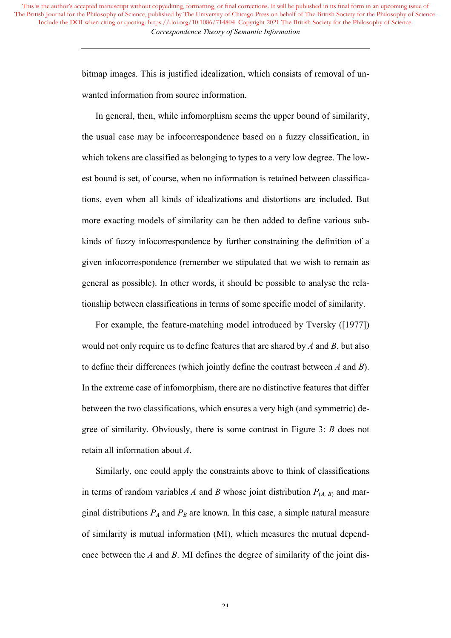> bitmap images. This is justified idealization, which consists of removal of unwanted information from source information.

> In general, then, while infomorphism seems the upper bound of similarity, the usual case may be infocorrespondence based on a fuzzy classification, in which tokens are classified as belonging to types to a very low degree. The lowest bound is set, of course, when no information is retained between classifications, even when all kinds of idealizations and distortions are included. But more exacting models of similarity can be then added to define various subkinds of fuzzy infocorrespondence by further constraining the definition of a given infocorrespondence (remember we stipulated that we wish to remain as general as possible). In other words, it should be possible to analyse the relationship between classifications in terms of some specific model of similarity.

> For example, the feature-matching model introduced by Tversky ([1977]) would not only require us to define features that are shared by *A* and *B*, but also to define their differences (which jointly define the contrast between *A* and *B*). In the extreme case of infomorphism, there are no distinctive features that differ between the two classifications, which ensures a very high (and symmetric) degree of similarity. Obviously, there is some contrast in Figure 3: *B* does not retain all information about *A*.

> Similarly, one could apply the constraints above to think of classifications in terms of random variables *A* and *B* whose joint distribution  $P_{(A, B)}$  and marginal distributions  $P_A$  and  $P_B$  are known. In this case, a simple natural measure of similarity is mutual information (MI), which measures the mutual dependence between the *A* and *B*. MI defines the degree of similarity of the joint dis-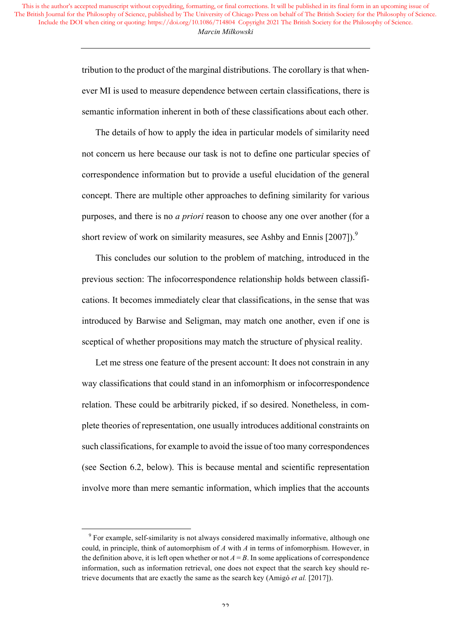> tribution to the product of the marginal distributions. The corollary is that whenever MI is used to measure dependence between certain classifications, there is semantic information inherent in both of these classifications about each other.

> The details of how to apply the idea in particular models of similarity need not concern us here because our task is not to define one particular species of correspondence information but to provide a useful elucidation of the general concept. There are multiple other approaches to defining similarity for various purposes, and there is no *a priori* reason to choose any one over another (for a short review of work on similarity measures, see Ashby and Ennis  $[2007]$ .

> This concludes our solution to the problem of matching, introduced in the previous section: The infocorrespondence relationship holds between classifications. It becomes immediately clear that classifications, in the sense that was introduced by Barwise and Seligman, may match one another, even if one is sceptical of whether propositions may match the structure of physical reality.

> Let me stress one feature of the present account: It does not constrain in any way classifications that could stand in an infomorphism or infocorrespondence relation. These could be arbitrarily picked, if so desired. Nonetheless, in complete theories of representation, one usually introduces additional constraints on such classifications, for example to avoid the issue of too many correspondences (see Section 6.2, below). This is because mental and scientific representation involve more than mere semantic information, which implies that the accounts

<u> 1989 - Johann Barn, mars ann an t-Amhain Aonaich ann an t-Aonaich ann an t-Aonaich ann an t-Aonaich ann an t-</u>

<sup>&</sup>lt;sup>9</sup> For example, self-similarity is not always considered maximally informative, although one could, in principle, think of automorphism of *A* with *A* in terms of infomorphism. However, in the definition above, it is left open whether or not  $A = B$ . In some applications of correspondence information, such as information retrieval, one does not expect that the search key should retrieve documents that are exactly the same as the search key (Amigó *et al.* [2017]).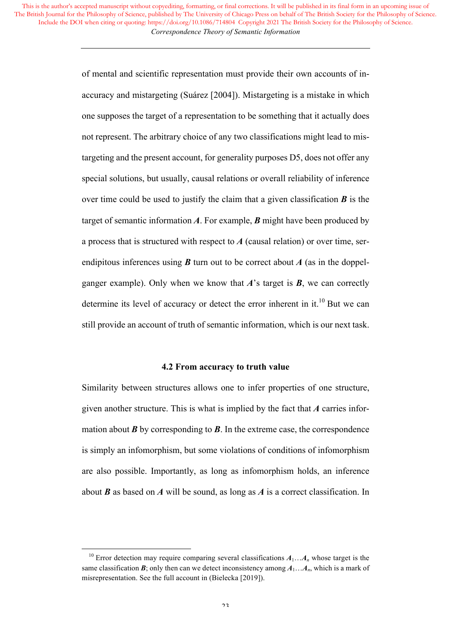> of mental and scientific representation must provide their own accounts of inaccuracy and mistargeting (Suárez [2004]). Mistargeting is a mistake in which one supposes the target of a representation to be something that it actually does not represent. The arbitrary choice of any two classifications might lead to mistargeting and the present account, for generality purposes D5, does not offer any special solutions, but usually, causal relations or overall reliability of inference over time could be used to justify the claim that a given classification  $\bm{B}$  is the target of semantic information *A*. For example, *B* might have been produced by a process that is structured with respect to *A* (causal relation) or over time, serendipitous inferences using  $\boldsymbol{B}$  turn out to be correct about  $\boldsymbol{A}$  (as in the doppelganger example). Only when we know that  $\vec{A}$ 's target is  $\vec{B}$ , we can correctly determine its level of accuracy or detect the error inherent in it.<sup>10</sup> But we can still provide an account of truth of semantic information, which is our next task.

#### **4.2 From accuracy to truth value**

Similarity between structures allows one to infer properties of one structure, given another structure. This is what is implied by the fact that *A* carries information about *B* by corresponding to *B*. In the extreme case, the correspondence is simply an infomorphism, but some violations of conditions of infomorphism are also possible. Importantly, as long as infomorphism holds, an inference about *B* as based on *A* will be sound, as long as *A* is a correct classification. In

<u> 1989 - Johann Barn, mars ann an t-Amhain Aonaich ann an t-Aonaich ann an t-Aonaich ann an t-Aonaich ann an t-</u>

<sup>&</sup>lt;sup>10</sup> Error detection may require comparing several classifications  $A_1...A_n$  whose target is the same classification  $\mathbf{B}$ ; only then can we detect inconsistency among  $A_1...A_n$ , which is a mark of misrepresentation. See the full account in (Bielecka [2019]).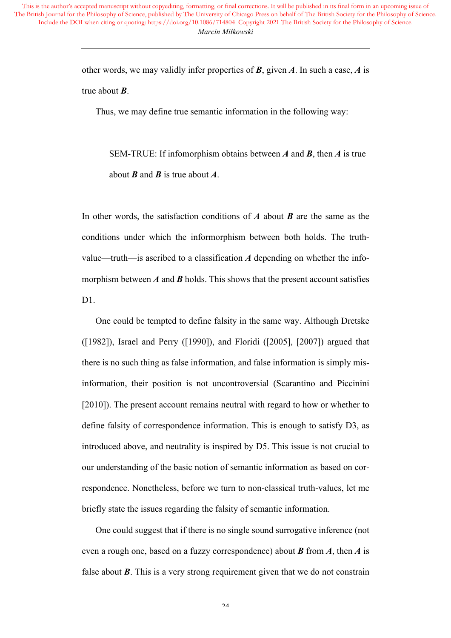other words, we may validly infer properties of *B*, given *A*. In such a case, *A* is true about *B*.

Thus, we may define true semantic information in the following way:

SEM-TRUE: If infomorphism obtains between *A* and *B*, then *A* is true about *B* and *B* is true about *A*.

In other words, the satisfaction conditions of *A* about *B* are the same as the conditions under which the informorphism between both holds. The truthvalue—truth—is ascribed to a classification *A* depending on whether the infomorphism between  $\vec{A}$  and  $\vec{B}$  holds. This shows that the present account satisfies  $D1$ 

One could be tempted to define falsity in the same way. Although Dretske ([1982]), Israel and Perry ([1990]), and Floridi ([2005], [2007]) argued that there is no such thing as false information, and false information is simply misinformation, their position is not uncontroversial (Scarantino and Piccinini [2010]). The present account remains neutral with regard to how or whether to define falsity of correspondence information. This is enough to satisfy D3, as introduced above, and neutrality is inspired by D5. This issue is not crucial to our understanding of the basic notion of semantic information as based on correspondence. Nonetheless, before we turn to non-classical truth-values, let me briefly state the issues regarding the falsity of semantic information.

One could suggest that if there is no single sound surrogative inference (not even a rough one, based on a fuzzy correspondence) about *B* from *A*, then *A* is false about *B*. This is a very strong requirement given that we do not constrain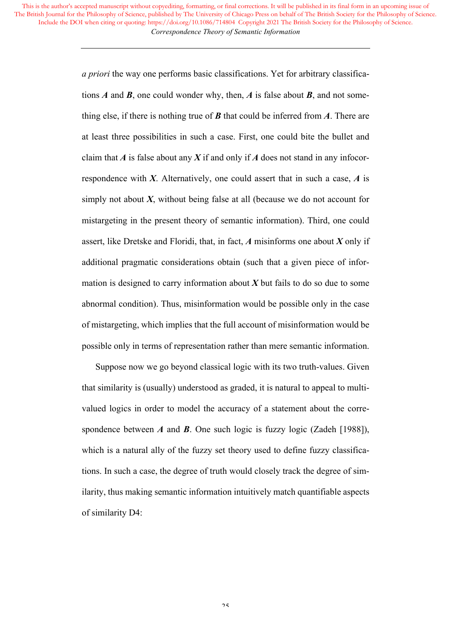> *a priori* the way one performs basic classifications. Yet for arbitrary classifications *A* and *B*, one could wonder why, then, *A* is false about *B*, and not something else, if there is nothing true of *B* that could be inferred from *A*. There are at least three possibilities in such a case. First, one could bite the bullet and claim that  $A$  is false about any  $X$  if and only if  $A$  does not stand in any infocorrespondence with *X*. Alternatively, one could assert that in such a case, *A* is simply not about  $X$ , without being false at all (because we do not account for mistargeting in the present theory of semantic information). Third, one could assert, like Dretske and Floridi, that, in fact, *A* misinforms one about *X* only if additional pragmatic considerations obtain (such that a given piece of information is designed to carry information about *X* but fails to do so due to some abnormal condition). Thus, misinformation would be possible only in the case of mistargeting, which implies that the full account of misinformation would be possible only in terms of representation rather than mere semantic information.

> Suppose now we go beyond classical logic with its two truth-values. Given that similarity is (usually) understood as graded, it is natural to appeal to multivalued logics in order to model the accuracy of a statement about the correspondence between *A* and *B*. One such logic is fuzzy logic (Zadeh [1988]), which is a natural ally of the fuzzy set theory used to define fuzzy classifications. In such a case, the degree of truth would closely track the degree of similarity, thus making semantic information intuitively match quantifiable aspects of similarity D4: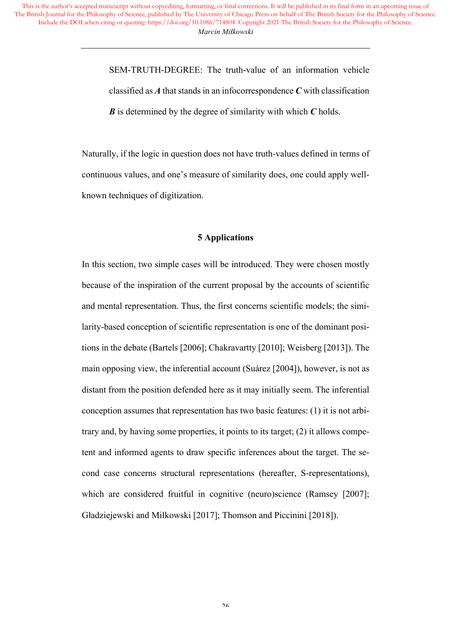> SEM-TRUTH-DEGREE: The truth-value of an information vehicle classified as *A* that stands in an infocorrespondence *C* with classification *B* is determined by the degree of similarity with which *C* holds.

Naturally, if the logic in question does not have truth-values defined in terms of continuous values, and one's measure of similarity does, one could apply wellknown techniques of digitization.

# **5 Applications**

In this section, two simple cases will be introduced. They were chosen mostly because of the inspiration of the current proposal by the accounts of scientific and mental representation. Thus, the first concerns scientific models; the similarity-based conception of scientific representation is one of the dominant positions in the debate (Bartels [2006]; Chakravartty [2010]; Weisberg [2013]). The main opposing view, the inferential account (Suárez [2004]), however, is not as distant from the position defended here as it may initially seem. The inferential conception assumes that representation has two basic features: (1) it is not arbitrary and, by having some properties, it points to its target; (2) it allows competent and informed agents to draw specific inferences about the target. The second case concerns structural representations (hereafter, S-representations), which are considered fruitful in cognitive (neuro)science (Ramsey [2007]; Gładziejewski and Miłkowski [2017]; Thomson and Piccinini [2018]).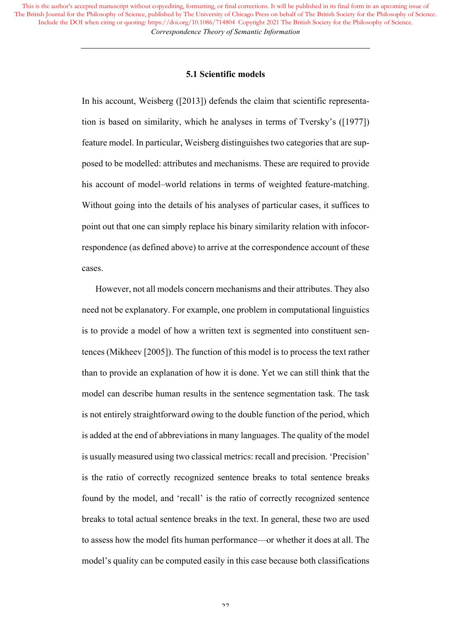#### **5.1 Scientific models**

In his account, Weisberg ([2013]) defends the claim that scientific representation is based on similarity, which he analyses in terms of Tversky's ([1977]) feature model. In particular, Weisberg distinguishes two categories that are supposed to be modelled: attributes and mechanisms. These are required to provide his account of model–world relations in terms of weighted feature-matching. Without going into the details of his analyses of particular cases, it suffices to point out that one can simply replace his binary similarity relation with infocorrespondence (as defined above) to arrive at the correspondence account of these cases.

However, not all models concern mechanisms and their attributes. They also need not be explanatory. For example, one problem in computational linguistics is to provide a model of how a written text is segmented into constituent sentences (Mikheev [2005]). The function of this model is to process the text rather than to provide an explanation of how it is done. Yet we can still think that the model can describe human results in the sentence segmentation task. The task is not entirely straightforward owing to the double function of the period, which is added at the end of abbreviations in many languages. The quality of the model is usually measured using two classical metrics: recall and precision. 'Precision' is the ratio of correctly recognized sentence breaks to total sentence breaks found by the model, and 'recall' is the ratio of correctly recognized sentence breaks to total actual sentence breaks in the text. In general, these two are used to assess how the model fits human performance—or whether it does at all. The model's quality can be computed easily in this case because both classifications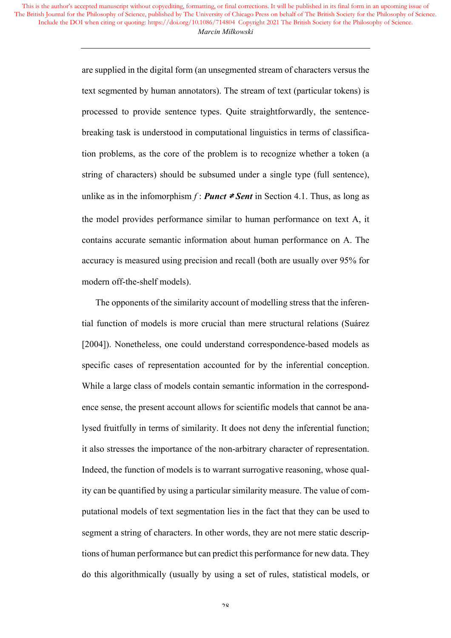> are supplied in the digital form (an unsegmented stream of characters versus the text segmented by human annotators). The stream of text (particular tokens) is processed to provide sentence types. Quite straightforwardly, the sentencebreaking task is understood in computational linguistics in terms of classification problems, as the core of the problem is to recognize whether a token (a string of characters) should be subsumed under a single type (full sentence), unlike as in the infomorphism  $f :$  *Punct*  $\neq$  *Sent* in Section 4.1. Thus, as long as the model provides performance similar to human performance on text A, it contains accurate semantic information about human performance on A. The accuracy is measured using precision and recall (both are usually over 95% for modern off-the-shelf models).

> The opponents of the similarity account of modelling stress that the inferential function of models is more crucial than mere structural relations (Suárez [2004]). Nonetheless, one could understand correspondence-based models as specific cases of representation accounted for by the inferential conception. While a large class of models contain semantic information in the correspondence sense, the present account allows for scientific models that cannot be analysed fruitfully in terms of similarity. It does not deny the inferential function; it also stresses the importance of the non-arbitrary character of representation. Indeed, the function of models is to warrant surrogative reasoning, whose quality can be quantified by using a particular similarity measure. The value of computational models of text segmentation lies in the fact that they can be used to segment a string of characters. In other words, they are not mere static descriptions of human performance but can predict this performance for new data. They do this algorithmically (usually by using a set of rules, statistical models, or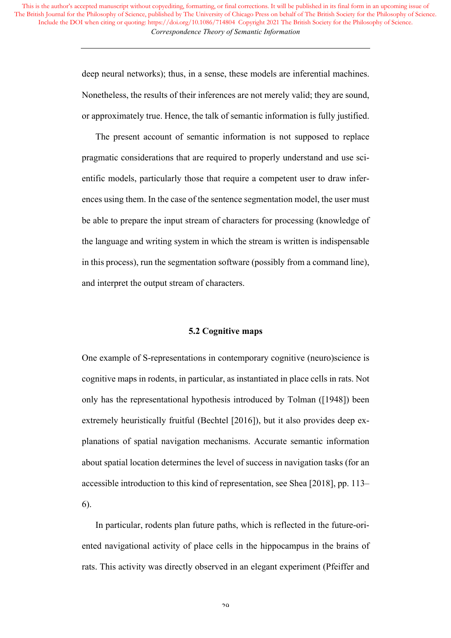> deep neural networks); thus, in a sense, these models are inferential machines. Nonetheless, the results of their inferences are not merely valid; they are sound, or approximately true. Hence, the talk of semantic information is fully justified.

> The present account of semantic information is not supposed to replace pragmatic considerations that are required to properly understand and use scientific models, particularly those that require a competent user to draw inferences using them. In the case of the sentence segmentation model, the user must be able to prepare the input stream of characters for processing (knowledge of the language and writing system in which the stream is written is indispensable in this process), run the segmentation software (possibly from a command line), and interpret the output stream of characters.

## **5.2 Cognitive maps**

One example of S-representations in contemporary cognitive (neuro)science is cognitive maps in rodents, in particular, as instantiated in place cells in rats. Not only has the representational hypothesis introduced by Tolman ([1948]) been extremely heuristically fruitful (Bechtel [2016]), but it also provides deep explanations of spatial navigation mechanisms. Accurate semantic information about spatial location determines the level of success in navigation tasks (for an accessible introduction to this kind of representation, see Shea [2018], pp. 113– 6).

In particular, rodents plan future paths, which is reflected in the future-oriented navigational activity of place cells in the hippocampus in the brains of rats. This activity was directly observed in an elegant experiment (Pfeiffer and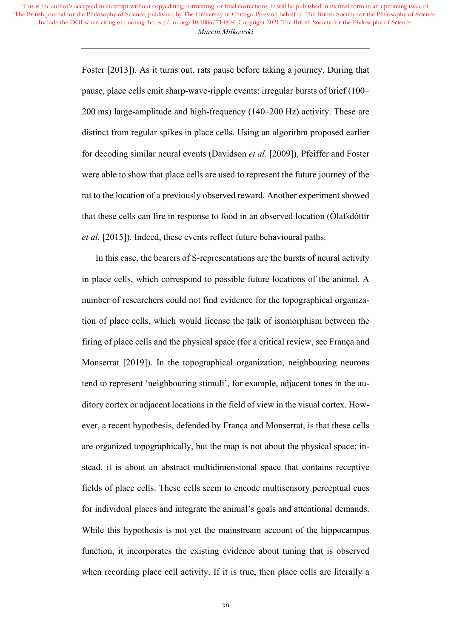> Foster [2013]). As it turns out, rats pause before taking a journey. During that pause, place cells emit sharp-wave-ripple events: irregular bursts of brief (100– 200 ms) large-amplitude and high-frequency (140–200 Hz) activity. These are distinct from regular spikes in place cells. Using an algorithm proposed earlier for decoding similar neural events (Davidson *et al.* [2009]), Pfeiffer and Foster were able to show that place cells are used to represent the future journey of the rat to the location of a previously observed reward. Another experiment showed that these cells can fire in response to food in an observed location (Ólafsdóttir *et al.* [2015]). Indeed, these events reflect future behavioural paths.

> In this case, the bearers of S-representations are the bursts of neural activity in place cells, which correspond to possible future locations of the animal. A number of researchers could not find evidence for the topographical organization of place cells, which would license the talk of isomorphism between the firing of place cells and the physical space (for a critical review, see França and Monserrat [2019]). In the topographical organization, neighbouring neurons tend to represent 'neighbouring stimuli', for example, adjacent tones in the auditory cortex or adjacent locations in the field of view in the visual cortex. However, a recent hypothesis, defended by França and Monserrat, is that these cells are organized topographically, but the map is not about the physical space; instead, it is about an abstract multidimensional space that contains receptive fields of place cells. These cells seem to encode multisensory perceptual cues for individual places and integrate the animal's goals and attentional demands. While this hypothesis is not yet the mainstream account of the hippocampus function, it incorporates the existing evidence about tuning that is observed when recording place cell activity. If it is true, then place cells are literally a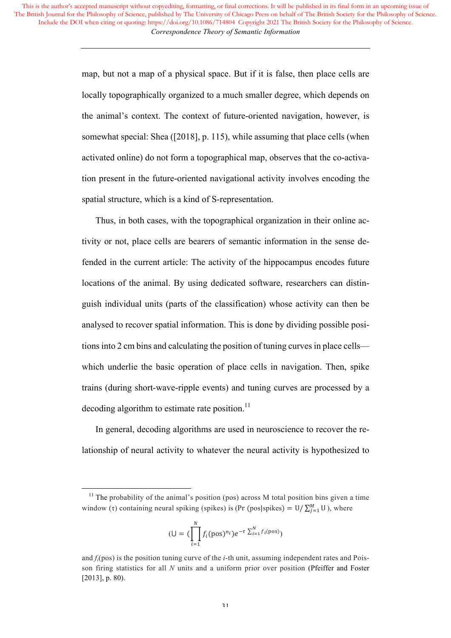> map, but not a map of a physical space. But if it is false, then place cells are locally topographically organized to a much smaller degree, which depends on the animal's context. The context of future-oriented navigation, however, is somewhat special: Shea ([2018], p. 115), while assuming that place cells (when activated online) do not form a topographical map, observes that the co-activation present in the future-oriented navigational activity involves encoding the spatial structure, which is a kind of S-representation.

> Thus, in both cases, with the topographical organization in their online activity or not, place cells are bearers of semantic information in the sense defended in the current article: The activity of the hippocampus encodes future locations of the animal. By using dedicated software, researchers can distinguish individual units (parts of the classification) whose activity can then be analysed to recover spatial information. This is done by dividing possible positions into 2 cm bins and calculating the position of tuning curves in place cells which underlie the basic operation of place cells in navigation. Then, spike trains (during short-wave-ripple events) and tuning curves are processed by a decoding algorithm to estimate rate position. $^{11}$

> In general, decoding algorithms are used in neuroscience to recover the relationship of neural activity to whatever the neural activity is hypothesized to

 

$$
(\mathsf{U} = (\prod_{i=1}^{N} f_i(\text{pos})^{n_i})e^{-\tau \sum_{i=1}^{N} f_i(\text{pos})})
$$

 $11$  The probability of the animal's position (pos) across M total position bins given a time window (τ) containing neural spiking (spikes) is (Pr (pos|spikes) = U/ $\sum_{j=1}^{M}$ U), where

and  $f_i(\text{pos})$  is the position tuning curve of the *i*-th unit, assuming independent rates and Poisson firing statistics for all *N* units and a uniform prior over position (Pfeiffer and Foster [2013], p. 80).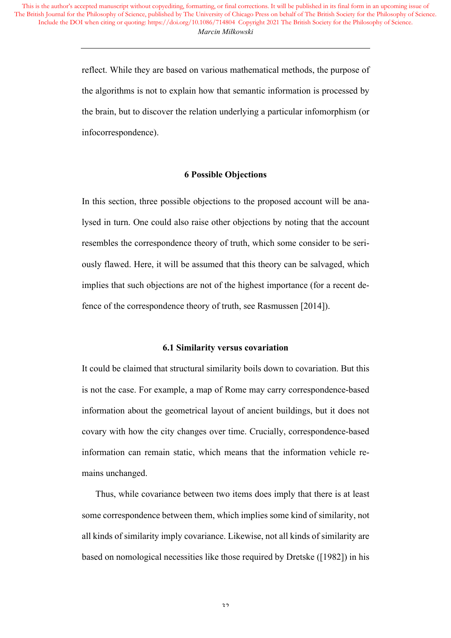> reflect. While they are based on various mathematical methods, the purpose of the algorithms is not to explain how that semantic information is processed by the brain, but to discover the relation underlying a particular infomorphism (or infocorrespondence).

### **6 Possible Objections**

In this section, three possible objections to the proposed account will be analysed in turn. One could also raise other objections by noting that the account resembles the correspondence theory of truth, which some consider to be seriously flawed. Here, it will be assumed that this theory can be salvaged, which implies that such objections are not of the highest importance (for a recent defence of the correspondence theory of truth, see Rasmussen [2014]).

### **6.1 Similarity versus covariation**

It could be claimed that structural similarity boils down to covariation. But this is not the case. For example, a map of Rome may carry correspondence-based information about the geometrical layout of ancient buildings, but it does not covary with how the city changes over time. Crucially, correspondence-based information can remain static, which means that the information vehicle remains unchanged.

Thus, while covariance between two items does imply that there is at least some correspondence between them, which implies some kind of similarity, not all kinds of similarity imply covariance. Likewise, not all kinds of similarity are based on nomological necessities like those required by Dretske ([1982]) in his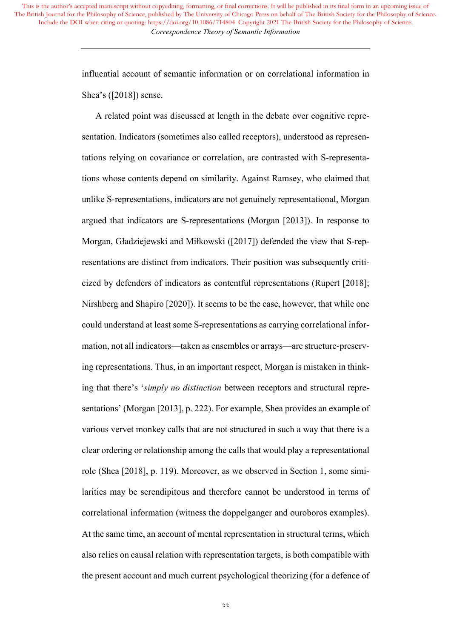> influential account of semantic information or on correlational information in Shea's ([2018]) sense.

> A related point was discussed at length in the debate over cognitive representation. Indicators (sometimes also called receptors), understood as representations relying on covariance or correlation, are contrasted with S-representations whose contents depend on similarity. Against Ramsey, who claimed that unlike S-representations, indicators are not genuinely representational, Morgan argued that indicators are S-representations (Morgan [2013]). In response to Morgan, Gładziejewski and Miłkowski ([2017]) defended the view that S-representations are distinct from indicators. Their position was subsequently criticized by defenders of indicators as contentful representations (Rupert [2018]; Nirshberg and Shapiro [2020]). It seems to be the case, however, that while one could understand at least some S-representations as carrying correlational information, not all indicators—taken as ensembles or arrays—are structure-preserving representations. Thus, in an important respect, Morgan is mistaken in thinking that there's '*simply no distinction* between receptors and structural representations' (Morgan [2013], p. 222). For example, Shea provides an example of various vervet monkey calls that are not structured in such a way that there is a clear ordering or relationship among the calls that would play a representational role (Shea [2018], p. 119). Moreover, as we observed in Section 1, some similarities may be serendipitous and therefore cannot be understood in terms of correlational information (witness the doppelganger and ouroboros examples). At the same time, an account of mental representation in structural terms, which also relies on causal relation with representation targets, is both compatible with the present account and much current psychological theorizing (for a defence of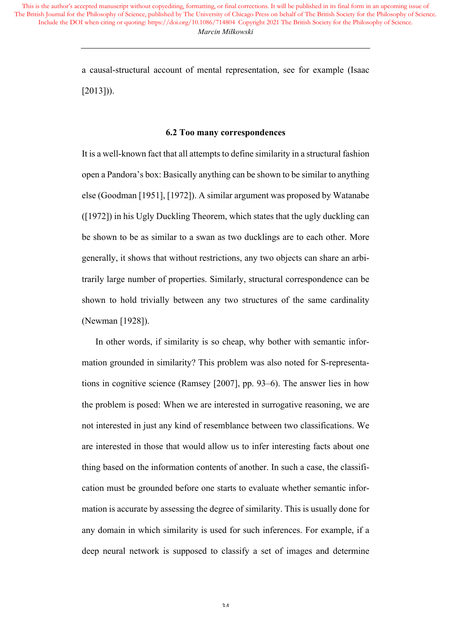> a causal-structural account of mental representation, see for example (Isaac  $[2013]$ ).

#### **6.2 Too many correspondences**

It is a well-known fact that all attempts to define similarity in a structural fashion open a Pandora's box: Basically anything can be shown to be similar to anything else (Goodman [1951], [1972]). A similar argument was proposed by Watanabe ([1972]) in his Ugly Duckling Theorem, which states that the ugly duckling can be shown to be as similar to a swan as two ducklings are to each other. More generally, it shows that without restrictions, any two objects can share an arbitrarily large number of properties. Similarly, structural correspondence can be shown to hold trivially between any two structures of the same cardinality (Newman [1928]).

In other words, if similarity is so cheap, why bother with semantic information grounded in similarity? This problem was also noted for S-representations in cognitive science (Ramsey [2007], pp. 93–6). The answer lies in how the problem is posed: When we are interested in surrogative reasoning, we are not interested in just any kind of resemblance between two classifications. We are interested in those that would allow us to infer interesting facts about one thing based on the information contents of another. In such a case, the classification must be grounded before one starts to evaluate whether semantic information is accurate by assessing the degree of similarity. This is usually done for any domain in which similarity is used for such inferences. For example, if a deep neural network is supposed to classify a set of images and determine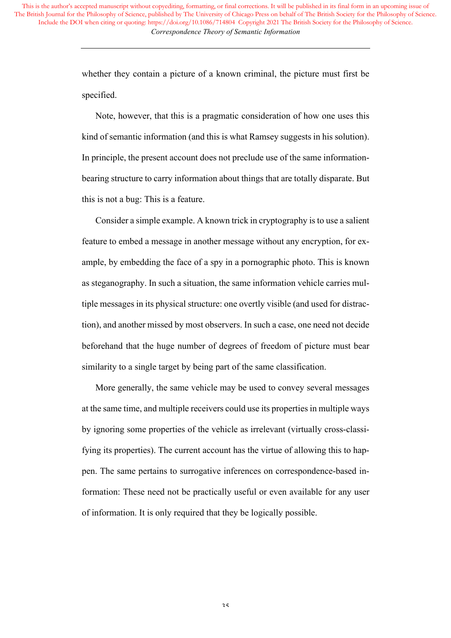> whether they contain a picture of a known criminal, the picture must first be specified.

> Note, however, that this is a pragmatic consideration of how one uses this kind of semantic information (and this is what Ramsey suggests in his solution). In principle, the present account does not preclude use of the same informationbearing structure to carry information about things that are totally disparate. But this is not a bug: This is a feature.

> Consider a simple example. A known trick in cryptography is to use a salient feature to embed a message in another message without any encryption, for example, by embedding the face of a spy in a pornographic photo. This is known as steganography. In such a situation, the same information vehicle carries multiple messages in its physical structure: one overtly visible (and used for distraction), and another missed by most observers. In such a case, one need not decide beforehand that the huge number of degrees of freedom of picture must bear similarity to a single target by being part of the same classification.

> More generally, the same vehicle may be used to convey several messages at the same time, and multiple receivers could use its properties in multiple ways by ignoring some properties of the vehicle as irrelevant (virtually cross-classifying its properties). The current account has the virtue of allowing this to happen. The same pertains to surrogative inferences on correspondence-based information: These need not be practically useful or even available for any user of information. It is only required that they be logically possible.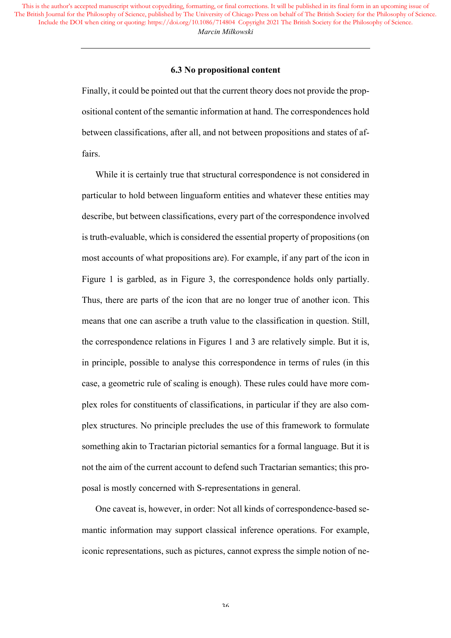### **6.3 No propositional content**

Finally, it could be pointed out that the current theory does not provide the propositional content of the semantic information at hand. The correspondences hold between classifications, after all, and not between propositions and states of affairs.

While it is certainly true that structural correspondence is not considered in particular to hold between linguaform entities and whatever these entities may describe, but between classifications, every part of the correspondence involved is truth-evaluable, which is considered the essential property of propositions (on most accounts of what propositions are). For example, if any part of the icon in Figure 1 is garbled, as in Figure 3, the correspondence holds only partially. Thus, there are parts of the icon that are no longer true of another icon. This means that one can ascribe a truth value to the classification in question. Still, the correspondence relations in Figures 1 and 3 are relatively simple. But it is, in principle, possible to analyse this correspondence in terms of rules (in this case, a geometric rule of scaling is enough). These rules could have more complex roles for constituents of classifications, in particular if they are also complex structures. No principle precludes the use of this framework to formulate something akin to Tractarian pictorial semantics for a formal language. But it is not the aim of the current account to defend such Tractarian semantics; this proposal is mostly concerned with S-representations in general.

One caveat is, however, in order: Not all kinds of correspondence-based semantic information may support classical inference operations. For example, iconic representations, such as pictures, cannot express the simple notion of ne-

36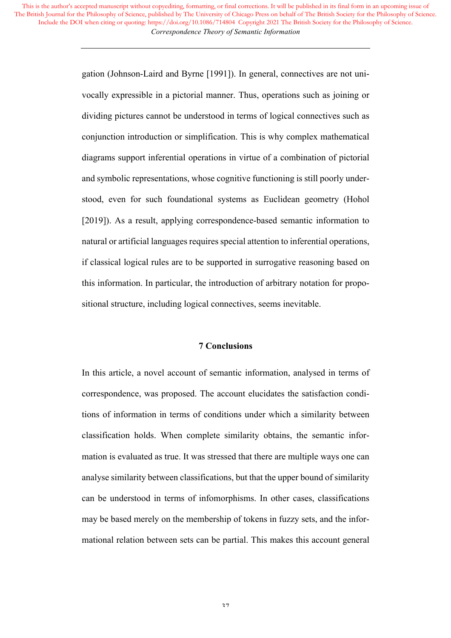> gation (Johnson-Laird and Byrne [1991]). In general, connectives are not univocally expressible in a pictorial manner. Thus, operations such as joining or dividing pictures cannot be understood in terms of logical connectives such as conjunction introduction or simplification. This is why complex mathematical diagrams support inferential operations in virtue of a combination of pictorial and symbolic representations, whose cognitive functioning is still poorly understood, even for such foundational systems as Euclidean geometry (Hohol [2019]). As a result, applying correspondence-based semantic information to natural or artificial languages requires special attention to inferential operations, if classical logical rules are to be supported in surrogative reasoning based on this information. In particular, the introduction of arbitrary notation for propositional structure, including logical connectives, seems inevitable.

## **7 Conclusions**

In this article, a novel account of semantic information, analysed in terms of correspondence, was proposed. The account elucidates the satisfaction conditions of information in terms of conditions under which a similarity between classification holds. When complete similarity obtains, the semantic information is evaluated as true. It was stressed that there are multiple ways one can analyse similarity between classifications, but that the upper bound of similarity can be understood in terms of infomorphisms. In other cases, classifications may be based merely on the membership of tokens in fuzzy sets, and the informational relation between sets can be partial. This makes this account general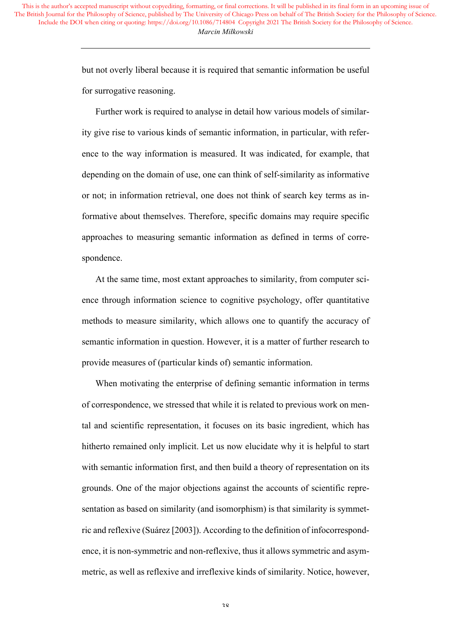> but not overly liberal because it is required that semantic information be useful for surrogative reasoning.

> Further work is required to analyse in detail how various models of similarity give rise to various kinds of semantic information, in particular, with reference to the way information is measured. It was indicated, for example, that depending on the domain of use, one can think of self-similarity as informative or not; in information retrieval, one does not think of search key terms as informative about themselves. Therefore, specific domains may require specific approaches to measuring semantic information as defined in terms of correspondence.

> At the same time, most extant approaches to similarity, from computer science through information science to cognitive psychology, offer quantitative methods to measure similarity, which allows one to quantify the accuracy of semantic information in question. However, it is a matter of further research to provide measures of (particular kinds of) semantic information.

> When motivating the enterprise of defining semantic information in terms of correspondence, we stressed that while it is related to previous work on mental and scientific representation, it focuses on its basic ingredient, which has hitherto remained only implicit. Let us now elucidate why it is helpful to start with semantic information first, and then build a theory of representation on its grounds. One of the major objections against the accounts of scientific representation as based on similarity (and isomorphism) is that similarity is symmetric and reflexive (Suárez [2003]). According to the definition of infocorrespondence, it is non-symmetric and non-reflexive, thus it allows symmetric and asymmetric, as well as reflexive and irreflexive kinds of similarity. Notice, however,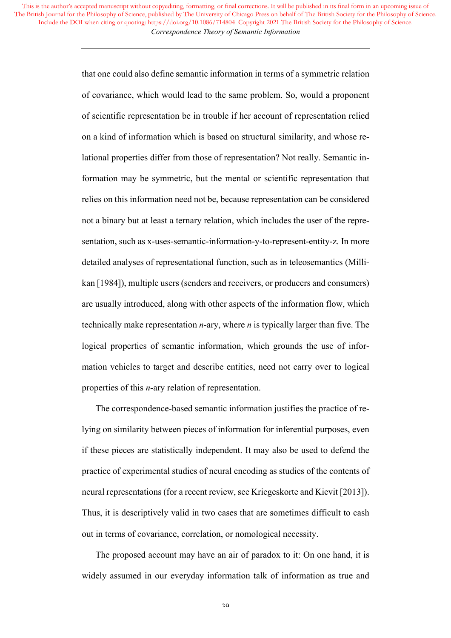> that one could also define semantic information in terms of a symmetric relation of covariance, which would lead to the same problem. So, would a proponent of scientific representation be in trouble if her account of representation relied on a kind of information which is based on structural similarity, and whose relational properties differ from those of representation? Not really. Semantic information may be symmetric, but the mental or scientific representation that relies on this information need not be, because representation can be considered not a binary but at least a ternary relation, which includes the user of the representation, such as x-uses-semantic-information-y-to-represent-entity-z. In more detailed analyses of representational function, such as in teleosemantics (Millikan [1984]), multiple users (senders and receivers, or producers and consumers) are usually introduced, along with other aspects of the information flow, which technically make representation *n*-ary, where *n* is typically larger than five. The logical properties of semantic information, which grounds the use of information vehicles to target and describe entities, need not carry over to logical properties of this *n*-ary relation of representation.

> The correspondence-based semantic information justifies the practice of relying on similarity between pieces of information for inferential purposes, even if these pieces are statistically independent. It may also be used to defend the practice of experimental studies of neural encoding as studies of the contents of neural representations (for a recent review, see Kriegeskorte and Kievit [2013]). Thus, it is descriptively valid in two cases that are sometimes difficult to cash out in terms of covariance, correlation, or nomological necessity.

> The proposed account may have an air of paradox to it: On one hand, it is widely assumed in our everyday information talk of information as true and

> > 39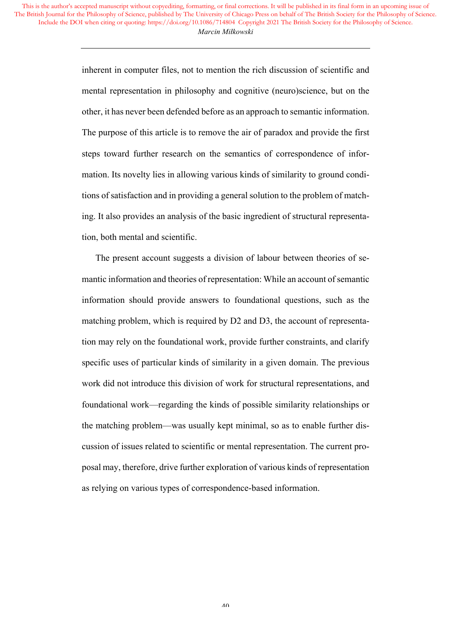> inherent in computer files, not to mention the rich discussion of scientific and mental representation in philosophy and cognitive (neuro)science, but on the other, it has never been defended before as an approach to semantic information. The purpose of this article is to remove the air of paradox and provide the first steps toward further research on the semantics of correspondence of information. Its novelty lies in allowing various kinds of similarity to ground conditions of satisfaction and in providing a general solution to the problem of matching. It also provides an analysis of the basic ingredient of structural representation, both mental and scientific.

> The present account suggests a division of labour between theories of semantic information and theories of representation: While an account of semantic information should provide answers to foundational questions, such as the matching problem, which is required by D2 and D3, the account of representation may rely on the foundational work, provide further constraints, and clarify specific uses of particular kinds of similarity in a given domain. The previous work did not introduce this division of work for structural representations, and foundational work—regarding the kinds of possible similarity relationships or the matching problem—was usually kept minimal, so as to enable further discussion of issues related to scientific or mental representation. The current proposal may, therefore, drive further exploration of various kinds of representation as relying on various types of correspondence-based information.

> > 40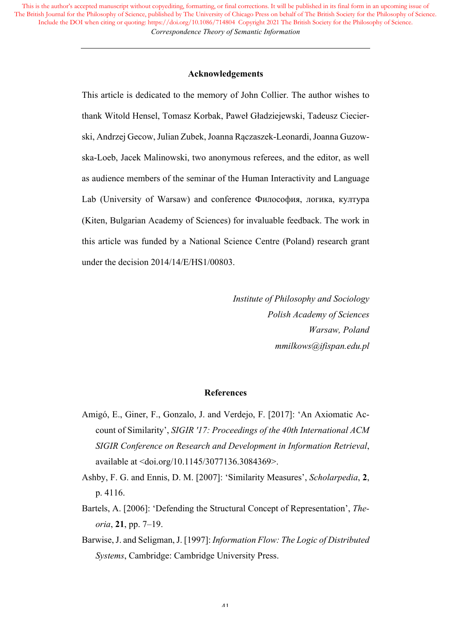## **Acknowledgements**

This article is dedicated to the memory of John Collier. The author wishes to thank Witold Hensel, Tomasz Korbak, Paweł Gładziejewski, Tadeusz Ciecierski, Andrzej Gecow, Julian Zubek, Joanna Rączaszek-Leonardi, Joanna Guzowska-Loeb, Jacek Malinowski, two anonymous referees, and the editor, as well as audience members of the seminar of the Human Interactivity and Language Lab (University of Warsaw) and conference Философия, логика, култура (Kiten, Bulgarian Academy of Sciences) for invaluable feedback. The work in this article was funded by a National Science Centre (Poland) research grant under the decision 2014/14/E/HS1/00803.

> *Institute of Philosophy and Sociology Polish Academy of Sciences Warsaw, Poland mmilkows@ifispan.edu.pl*

## **References**

- Amigó, E., Giner, F., Gonzalo, J. and Verdejo, F. [2017]: 'An Axiomatic Account of Similarity', *SIGIR '17: Proceedings of the 40th International ACM SIGIR Conference on Research and Development in Information Retrieval*, available at <doi.org/10.1145/3077136.3084369>.
- Ashby, F. G. and Ennis, D. M. [2007]: 'Similarity Measures', *Scholarpedia*, **2**, p. 4116.
- Bartels, A. [2006]: 'Defending the Structural Concept of Representation', *Theoria*, **21**, pp. 7–19.
- Barwise, J. and Seligman, J. [1997]: *Information Flow: The Logic of Distributed Systems*, Cambridge: Cambridge University Press.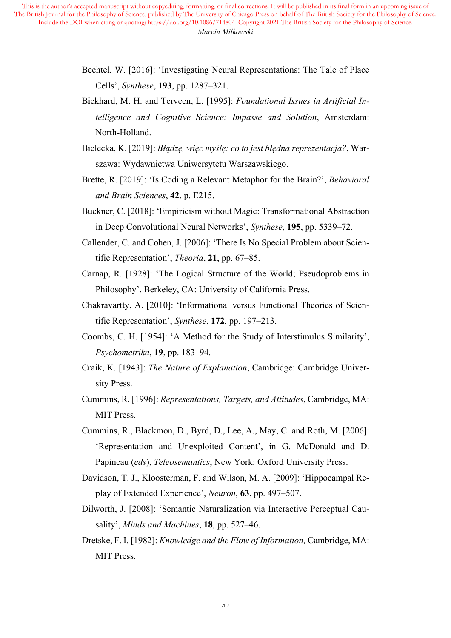- Bechtel, W. [2016]: 'Investigating Neural Representations: The Tale of Place Cells', *Synthese*, **193**, pp. 1287–321.
- Bickhard, M. H. and Terveen, L. [1995]: *Foundational Issues in Artificial Intelligence and Cognitive Science: Impasse and Solution*, Amsterdam: North-Holland.
- Bielecka, K. [2019]: *Błądzę, więc myślę: co to jest błędna reprezentacja?*, Warszawa: Wydawnictwa Uniwersytetu Warszawskiego.
- Brette, R. [2019]: 'Is Coding a Relevant Metaphor for the Brain?', *Behavioral and Brain Sciences*, **42**, p. E215.
- Buckner, C. [2018]: 'Empiricism without Magic: Transformational Abstraction in Deep Convolutional Neural Networks', *Synthese*, **195**, pp. 5339–72.
- Callender, C. and Cohen, J. [2006]: 'There Is No Special Problem about Scientific Representation', *Theoria*, **21**, pp. 67–85.
- Carnap, R. [1928]: 'The Logical Structure of the World; Pseudoproblems in Philosophy', Berkeley, CA: University of California Press.
- Chakravartty, A. [2010]: 'Informational versus Functional Theories of Scientific Representation', *Synthese*, **172**, pp. 197–213.
- Coombs, C. H. [1954]: 'A Method for the Study of Interstimulus Similarity', *Psychometrika*, **19**, pp. 183–94.
- Craik, K. [1943]: *The Nature of Explanation*, Cambridge: Cambridge University Press.
- Cummins, R. [1996]: *Representations, Targets, and Attitudes*, Cambridge, MA: MIT Press.
- Cummins, R., Blackmon, D., Byrd, D., Lee, A., May, C. and Roth, M. [2006]: 'Representation and Unexploited Content', in G. McDonald and D. Papineau (*eds*), *Teleosemantics*, New York: Oxford University Press.
- Davidson, T. J., Kloosterman, F. and Wilson, M. A. [2009]: 'Hippocampal Replay of Extended Experience', *Neuron*, **63**, pp. 497–507.
- Dilworth, J. [2008]: 'Semantic Naturalization via Interactive Perceptual Causality', *Minds and Machines*, **18**, pp. 527–46.
- Dretske, F. I. [1982]: *Knowledge and the Flow of Information,* Cambridge, MA: MIT Press.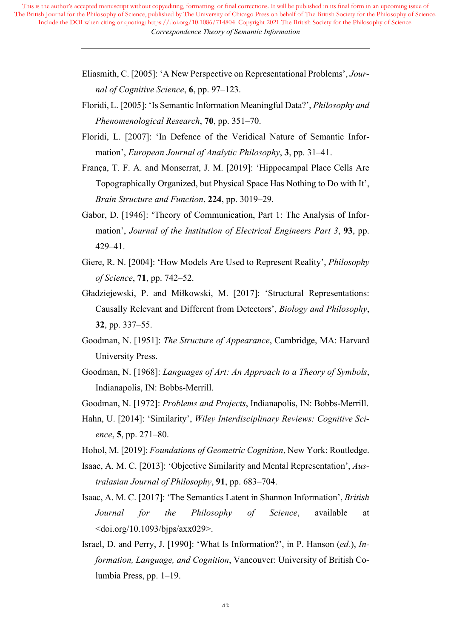- Eliasmith, C. [2005]: 'A New Perspective on Representational Problems', *Journal of Cognitive Science*, **6**, pp. 97–123.
- Floridi, L. [2005]: 'Is Semantic Information Meaningful Data?', *Philosophy and Phenomenological Research*, **70**, pp. 351–70.
- Floridi, L. [2007]: 'In Defence of the Veridical Nature of Semantic Information', *European Journal of Analytic Philosophy*, **3**, pp. 31–41.
- França, T. F. A. and Monserrat, J. M. [2019]: 'Hippocampal Place Cells Are Topographically Organized, but Physical Space Has Nothing to Do with It', *Brain Structure and Function*, **224**, pp. 3019–29.
- Gabor, D. [1946]: 'Theory of Communication, Part 1: The Analysis of Information', *Journal of the Institution of Electrical Engineers Part 3*, **93**, pp. 429–41.
- Giere, R. N. [2004]: 'How Models Are Used to Represent Reality', *Philosophy of Science*, **71**, pp. 742–52.
- Gładziejewski, P. and Miłkowski, M. [2017]: 'Structural Representations: Causally Relevant and Different from Detectors', *Biology and Philosophy*, **32**, pp. 337–55.
- Goodman, N. [1951]: *The Structure of Appearance*, Cambridge, MA: Harvard University Press.
- Goodman, N. [1968]: *Languages of Art: An Approach to a Theory of Symbols*, Indianapolis, IN: Bobbs-Merrill.
- Goodman, N. [1972]: *Problems and Projects*, Indianapolis, IN: Bobbs-Merrill.
- Hahn, U. [2014]: 'Similarity', *Wiley Interdisciplinary Reviews: Cognitive Science*, **5**, pp. 271–80.
- Hohol, M. [2019]: *Foundations of Geometric Cognition*, New York: Routledge.
- Isaac, A. M. C. [2013]: 'Objective Similarity and Mental Representation', *Australasian Journal of Philosophy*, **91**, pp. 683–704.
- Isaac, A. M. C. [2017]: 'The Semantics Latent in Shannon Information', *British Journal for the Philosophy of Science*, available at  $\langle \text{doi.org/10.1093/bips/axx029>}$ .
- Israel, D. and Perry, J. [1990]: 'What Is Information?', in P. Hanson (*ed.*), *Information, Language, and Cognition*, Vancouver: University of British Columbia Press, pp. 1–19.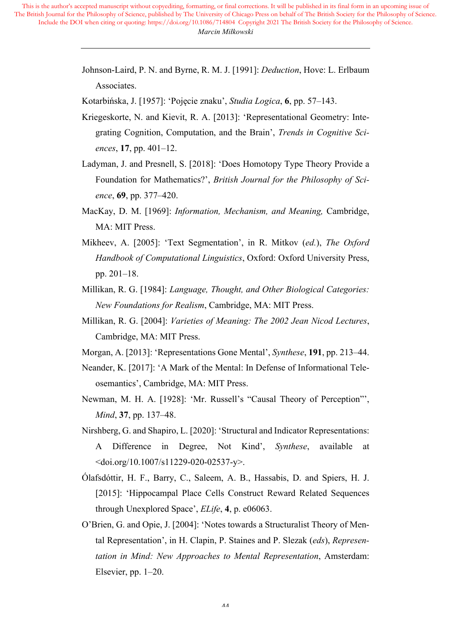> Johnson-Laird, P. N. and Byrne, R. M. J. [1991]: *Deduction*, Hove: L. Erlbaum Associates.

Kotarbińska, J. [1957]: 'Pojęcie znaku', *Studia Logica*, **6**, pp. 57–143.

- Kriegeskorte, N. and Kievit, R. A. [2013]: 'Representational Geometry: Integrating Cognition, Computation, and the Brain', *Trends in Cognitive Sciences*, **17**, pp. 401–12.
- Ladyman, J. and Presnell, S. [2018]: 'Does Homotopy Type Theory Provide a Foundation for Mathematics?', *British Journal for the Philosophy of Science*, **69**, pp. 377–420.
- MacKay, D. M. [1969]: *Information, Mechanism, and Meaning,* Cambridge, MA: MIT Press.
- Mikheev, A. [2005]: 'Text Segmentation', in R. Mitkov (*ed.*), *The Oxford Handbook of Computational Linguistics*, Oxford: Oxford University Press, pp. 201–18.
- Millikan, R. G. [1984]: *Language, Thought, and Other Biological Categories: New Foundations for Realism*, Cambridge, MA: MIT Press.
- Millikan, R. G. [2004]: *Varieties of Meaning: The 2002 Jean Nicod Lectures*, Cambridge, MA: MIT Press.
- Morgan, A. [2013]: 'Representations Gone Mental', *Synthese*, **191**, pp. 213–44.
- Neander, K. [2017]: 'A Mark of the Mental: In Defense of Informational Teleosemantics', Cambridge, MA: MIT Press.
- Newman, M. H. A. [1928]: 'Mr. Russell's "Causal Theory of Perception"', *Mind*, **37**, pp. 137–48.
- Nirshberg, G. and Shapiro, L. [2020]: 'Structural and Indicator Representations: A Difference in Degree, Not Kind', *Synthese*, available at  $\langle \text{doi.org/10.1007/s11229-020-02537-y} \rangle$ .
- Ólafsdóttir, H. F., Barry, C., Saleem, A. B., Hassabis, D. and Spiers, H. J. [2015]: 'Hippocampal Place Cells Construct Reward Related Sequences through Unexplored Space', *ELife*, **4**, p. e06063.
- O'Brien, G. and Opie, J. [2004]: 'Notes towards a Structuralist Theory of Mental Representation', in H. Clapin, P. Staines and P. Slezak (*eds*), *Representation in Mind: New Approaches to Mental Representation*, Amsterdam: Elsevier, pp. 1–20.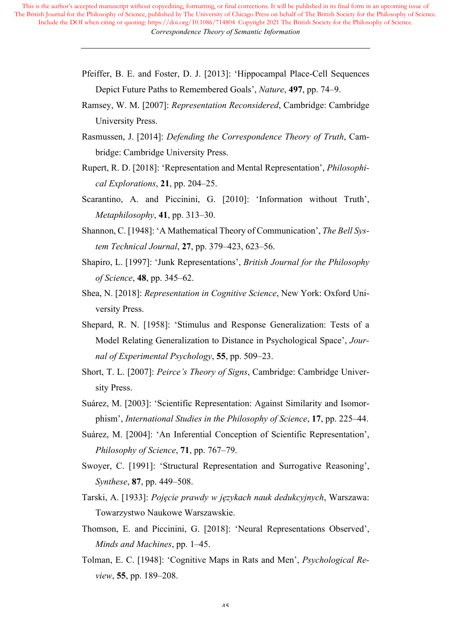- Pfeiffer, B. E. and Foster, D. J. [2013]: 'Hippocampal Place-Cell Sequences Depict Future Paths to Remembered Goals', *Nature*, **497**, pp. 74–9.
- Ramsey, W. M. [2007]: *Representation Reconsidered*, Cambridge: Cambridge University Press.
- Rasmussen, J. [2014]: *Defending the Correspondence Theory of Truth*, Cambridge: Cambridge University Press.
- Rupert, R. D. [2018]: 'Representation and Mental Representation', *Philosophical Explorations*, **21**, pp. 204–25.
- Scarantino, A. and Piccinini, G. [2010]: 'Information without Truth', *Metaphilosophy*, **41**, pp. 313–30.
- Shannon, C. [1948]: 'A Mathematical Theory of Communication', *The Bell System Technical Journal*, **27**, pp. 379–423, 623–56.
- Shapiro, L. [1997]: 'Junk Representations', *British Journal for the Philosophy of Science*, **48**, pp. 345–62.
- Shea, N. [2018]: *Representation in Cognitive Science*, New York: Oxford University Press.
- Shepard, R. N. [1958]: 'Stimulus and Response Generalization: Tests of a Model Relating Generalization to Distance in Psychological Space', *Journal of Experimental Psychology*, **55**, pp. 509–23.
- Short, T. L. [2007]: *Peirce's Theory of Signs*, Cambridge: Cambridge University Press.
- Suárez, M. [2003]: 'Scientific Representation: Against Similarity and Isomorphism', *International Studies in the Philosophy of Science*, **17**, pp. 225–44.
- Suárez, M. [2004]: 'An Inferential Conception of Scientific Representation', *Philosophy of Science*, **71**, pp. 767–79.
- Swoyer, C. [1991]: 'Structural Representation and Surrogative Reasoning', *Synthese*, **87**, pp. 449–508.
- Tarski, A. [1933]: *Pojęcie prawdy w językach nauk dedukcyjnych*, Warszawa: Towarzystwo Naukowe Warszawskie.
- Thomson, E. and Piccinini, G. [2018]: 'Neural Representations Observed', *Minds and Machines*, pp. 1–45.
- Tolman, E. C. [1948]: 'Cognitive Maps in Rats and Men', *Psychological Review*, **55**, pp. 189–208.